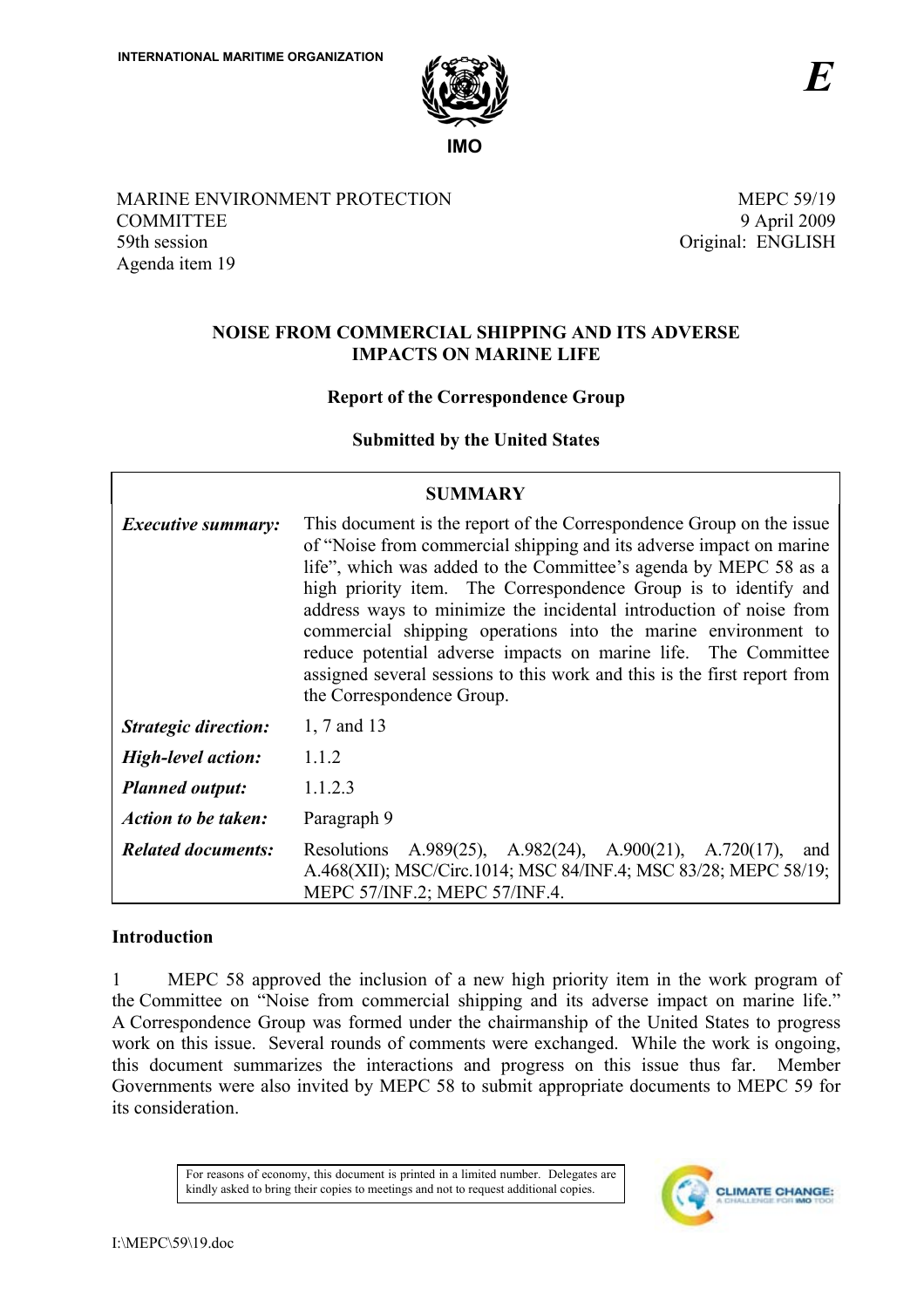

MARINE ENVIRONMENT PROTECTION **COMMITTEE** 59th session Agenda item 19

**MEPC 59/19** 9 April 2009 Original: ENGLISH

# **NOISE FROM COMMERCIAL SHIPPING AND ITS ADVERSE IMPACTS ON MARINE LIFE**

# **Report of the Correspondence Group**

# **Submitted by the United States**

| <b>SUMMARY</b>              |                                                                                                                                                                                                                                                                                                                                                                                                                                                                                                                                                                                                      |  |  |
|-----------------------------|------------------------------------------------------------------------------------------------------------------------------------------------------------------------------------------------------------------------------------------------------------------------------------------------------------------------------------------------------------------------------------------------------------------------------------------------------------------------------------------------------------------------------------------------------------------------------------------------------|--|--|
| <i>Executive summary:</i>   | This document is the report of the Correspondence Group on the issue<br>of "Noise from commercial shipping and its adverse impact on marine<br>life", which was added to the Committee's agenda by MEPC 58 as a<br>high priority item. The Correspondence Group is to identify and<br>address ways to minimize the incidental introduction of noise from<br>commercial shipping operations into the marine environment to<br>reduce potential adverse impacts on marine life. The Committee<br>assigned several sessions to this work and this is the first report from<br>the Correspondence Group. |  |  |
| <b>Strategic direction:</b> | 1, 7 and 13                                                                                                                                                                                                                                                                                                                                                                                                                                                                                                                                                                                          |  |  |
| <b>High-level action:</b>   | 1.1.2                                                                                                                                                                                                                                                                                                                                                                                                                                                                                                                                                                                                |  |  |
| <b>Planned output:</b>      | 1.1.2.3                                                                                                                                                                                                                                                                                                                                                                                                                                                                                                                                                                                              |  |  |
| <b>Action to be taken:</b>  | Paragraph 9                                                                                                                                                                                                                                                                                                                                                                                                                                                                                                                                                                                          |  |  |
| <b>Related documents:</b>   | A.989(25), A.982(24), A.900(21), A.720(17),<br>Resolutions<br>and<br>A.468(XII); MSC/Circ.1014; MSC 84/INF.4; MSC 83/28; MEPC 58/19;<br>MEPC 57/INF.2; MEPC 57/INF.4.                                                                                                                                                                                                                                                                                                                                                                                                                                |  |  |

# **Introduction**

 $\mathbf{1}$ MEPC 58 approved the inclusion of a new high priority item in the work program of the Committee on "Noise from commercial shipping and its adverse impact on marine life." A Correspondence Group was formed under the chairmanship of the United States to progress work on this issue. Several rounds of comments were exchanged. While the work is ongoing, this document summarizes the interactions and progress on this issue thus far. Member Governments were also invited by MEPC 58 to submit appropriate documents to MEPC 59 for its consideration

> For reasons of economy, this document is printed in a limited number. Delegates are kindly asked to bring their copies to meetings and not to request additional copies.

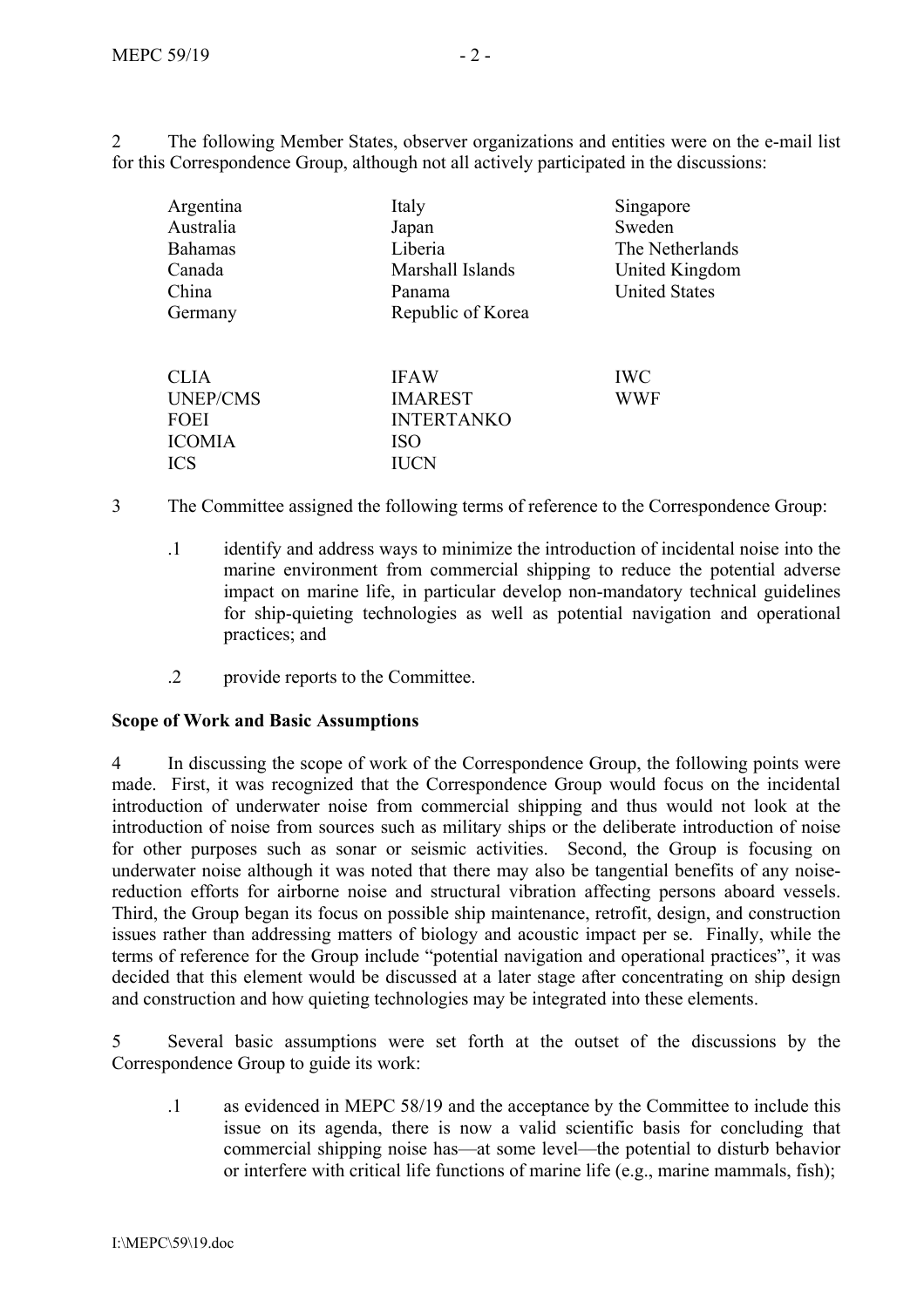$\overline{2}$ The following Member States, observer organizations and entities were on the e-mail list for this Correspondence Group, although not all actively participated in the discussions:

| Argentina       | Italy             | Singapore            |
|-----------------|-------------------|----------------------|
| Australia       | Japan             | Sweden               |
| <b>Bahamas</b>  | Liberia           | The Netherlands      |
| Canada          | Marshall Islands  | United Kingdom       |
| China           | Panama            | <b>United States</b> |
| Germany         | Republic of Korea |                      |
| <b>CLIA</b>     | <b>IFAW</b>       | <b>IWC</b>           |
| <b>UNEP/CMS</b> | <b>IMAREST</b>    | <b>WWF</b>           |
| FOEI            | <b>INTERTANKO</b> |                      |
| <b>ICOMIA</b>   | <b>ISO</b>        |                      |
| <b>ICS</b>      | <b>IUCN</b>       |                      |

- $\overline{\mathcal{E}}$ The Committee assigned the following terms of reference to the Correspondence Group:
	- $\overline{1}$ identify and address ways to minimize the introduction of incidental noise into the marine environment from commercial shipping to reduce the potential adverse impact on marine life, in particular develop non-mandatory technical guidelines for ship-quieting technologies as well as potential navigation and operational practices; and
	- $\overline{2}$ provide reports to the Committee.

# **Scope of Work and Basic Assumptions**

 $\overline{4}$ In discussing the scope of work of the Correspondence Group, the following points were made. First, it was recognized that the Correspondence Group would focus on the incidental introduction of underwater noise from commercial shipping and thus would not look at the introduction of noise from sources such as military ships or the deliberate introduction of noise for other purposes such as sonar or seismic activities. Second, the Group is focusing on underwater noise although it was noted that there may also be tangential benefits of any noisereduction efforts for airborne noise and structural vibration affecting persons aboard vessels. Third, the Group began its focus on possible ship maintenance, retrofit, design, and construction issues rather than addressing matters of biology and acoustic impact per se. Finally, while the terms of reference for the Group include "potential navigation and operational practices", it was decided that this element would be discussed at a later stage after concentrating on ship design and construction and how quieting technologies may be integrated into these elements.

5 Several basic assumptions were set forth at the outset of the discussions by the Correspondence Group to guide its work:

 $\cdot$ 1 as evidenced in MEPC 58/19 and the acceptance by the Committee to include this issue on its agenda, there is now a valid scientific basis for concluding that commercial shipping noise has—at some level—the potential to disturb behavior or interfere with critical life functions of marine life (e.g., marine mammals, fish);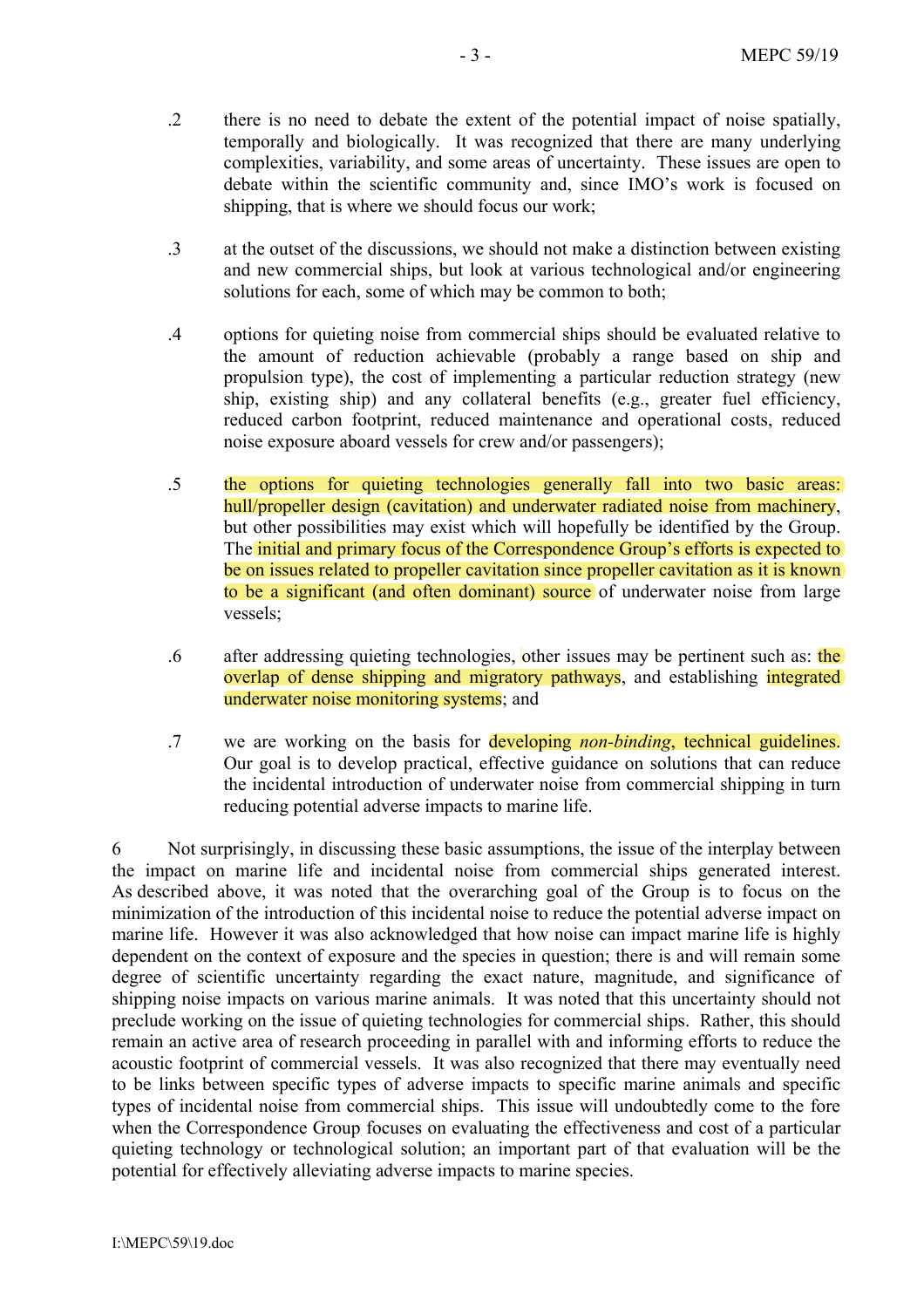- $\overline{2}$ there is no need to debate the extent of the potential impact of noise spatially, temporally and biologically. It was recognized that there are many underlying complexities, variability, and some areas of uncertainty. These issues are open to debate within the scientific community and, since IMO's work is focused on shipping, that is where we should focus our work;
- at the outset of the discussions, we should not make a distinction between existing  $\cdot$ 3 and new commercial ships, but look at various technological and/or engineering solutions for each, some of which may be common to both;
- $\overline{4}$ options for quieting noise from commercial ships should be evaluated relative to the amount of reduction achievable (probably a range based on ship and propulsion type), the cost of implementing a particular reduction strategy (new ship, existing ship) and any collateral benefits (e.g., greater fuel efficiency, reduced carbon footprint, reduced maintenance and operational costs, reduced noise exposure aboard vessels for crew and/or passengers);
- $.5\,$ the options for quieting technologies generally fall into two basic areas: hull/propeller design (cavitation) and underwater radiated noise from machinery, but other possibilities may exist which will hopefully be identified by the Group. The initial and primary focus of the Correspondence Group's efforts is expected to be on issues related to propeller cavitation since propeller cavitation as it is known to be a significant (and often dominant) source of underwater noise from large vessels:
- $6<sup>6</sup>$ after addressing quieting technologies, other issues may be pertinent such as: the overlap of dense shipping and migratory pathways, and establishing integrated underwater noise monitoring systems; and
- we are working on the basis for developing *non-binding*, technical guidelines.  $\overline{7}$ Our goal is to develop practical, effective guidance on solutions that can reduce the incidental introduction of underwater noise from commercial shipping in turn reducing potential adverse impacts to marine life.

Not surprisingly, in discussing these basic assumptions, the issue of the interplay between 6 the impact on marine life and incidental noise from commercial ships generated interest. As described above, it was noted that the overarching goal of the Group is to focus on the minimization of the introduction of this incidental noise to reduce the potential adverse impact on marine life. However it was also acknowledged that how noise can impact marine life is highly dependent on the context of exposure and the species in question; there is and will remain some degree of scientific uncertainty regarding the exact nature, magnitude, and significance of shipping noise impacts on various marine animals. It was noted that this uncertainty should not preclude working on the issue of quieting technologies for commercial ships. Rather, this should remain an active area of research proceeding in parallel with and informing efforts to reduce the acoustic footprint of commercial vessels. It was also recognized that there may eventually need to be links between specific types of adverse impacts to specific marine animals and specific types of incidental noise from commercial ships. This issue will undoubtedly come to the fore when the Correspondence Group focuses on evaluating the effectiveness and cost of a particular quieting technology or technological solution; an important part of that evaluation will be the potential for effectively alleviating adverse impacts to marine species.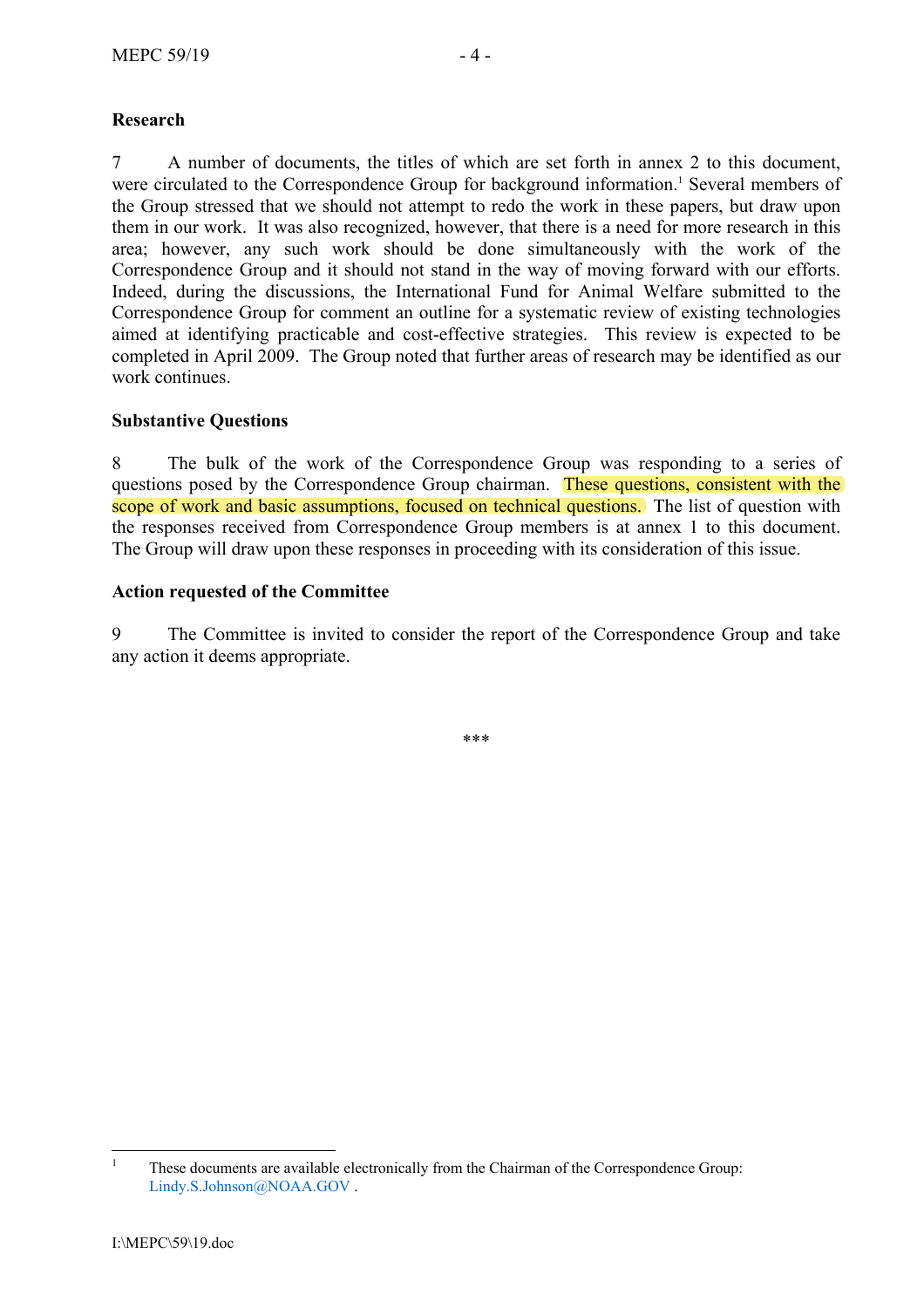# **Research**

A number of documents, the titles of which are set forth in annex 2 to this document,  $7\overline{ }$ were circulated to the Correspondence Group for background information.<sup>1</sup> Several members of the Group stressed that we should not attempt to redo the work in these papers, but draw upon them in our work. It was also recognized, however, that there is a need for more research in this area; however, any such work should be done simultaneously with the work of the Correspondence Group and it should not stand in the way of moving forward with our efforts. Indeed, during the discussions, the International Fund for Animal Welfare submitted to the Correspondence Group for comment an outline for a systematic review of existing technologies aimed at identifying practicable and cost-effective strategies. This review is expected to be completed in April 2009. The Group noted that further areas of research may be identified as our work continues

# **Substantive Questions**

The bulk of the work of the Correspondence Group was responding to a series of 8 questions posed by the Correspondence Group chairman. These questions, consistent with the scope of work and basic assumptions, focused on technical questions. The list of question with the responses received from Correspondence Group members is at annex 1 to this document. The Group will draw upon these responses in proceeding with its consideration of this issue.

# **Action requested of the Committee**

9 The Committee is invited to consider the report of the Correspondence Group and take any action it deems appropriate.

 $***$ 

 $\overline{1}$ These documents are available electronically from the Chairman of the Correspondence Group: Lindy.S.Johnson@NOAA.GOV.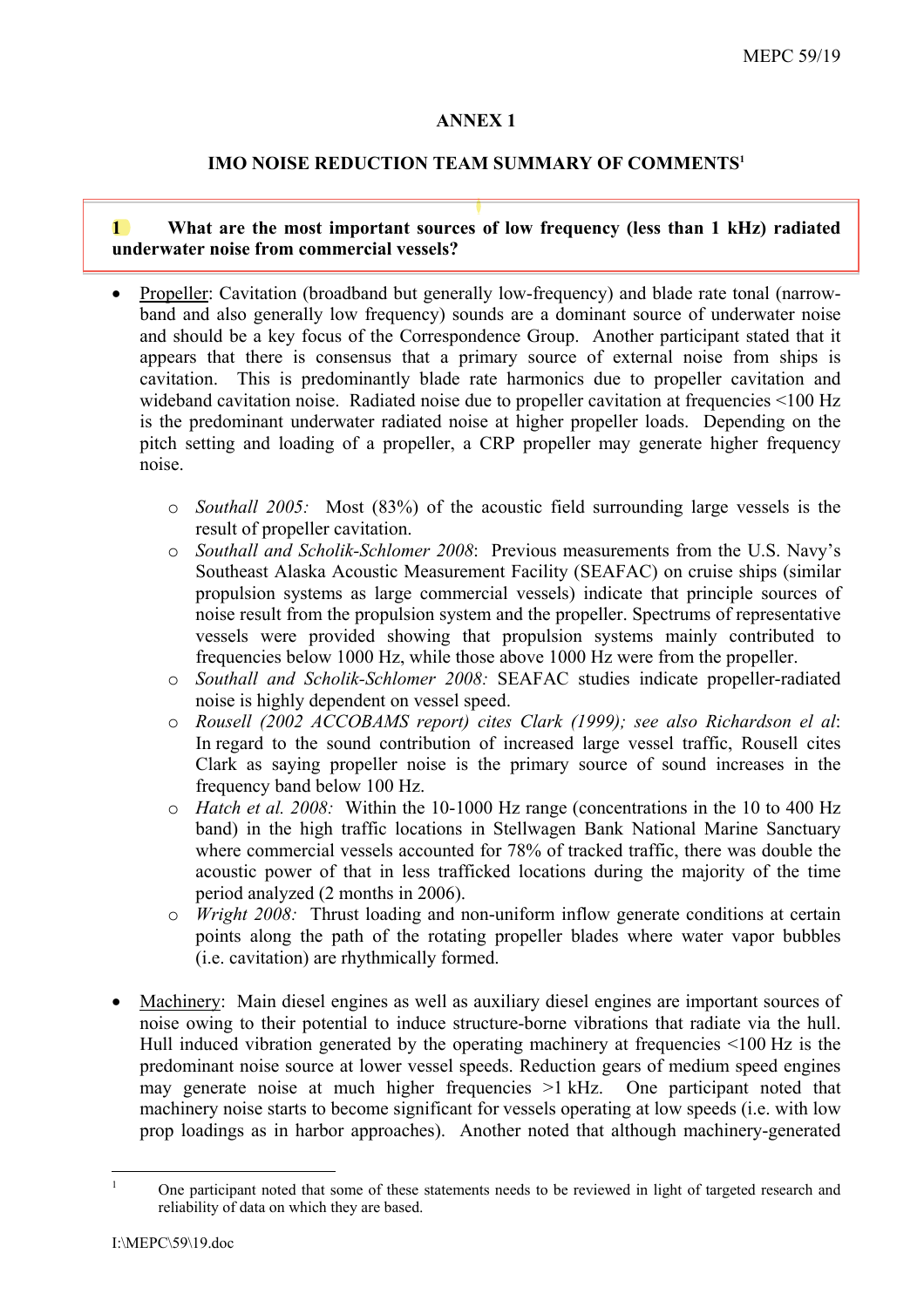# **ANNEX1**

# **IMO NOISE REDUCTION TEAM SUMMARY OF COMMENTS1**

### $\mathbf 1$ What are the most important sources of low frequency (less than 1 kHz) radiated underwater noise from commercial vessels?

- Propeller: Cavitation (broadband but generally low-frequency) and blade rate tonal (narrowband and also generally low frequency) sounds are a dominant source of underwater noise and should be a key focus of the Correspondence Group. Another participant stated that it appears that there is consensus that a primary source of external noise from ships is cavitation. This is predominantly blade rate harmonics due to propeller cavitation and wideband cavitation noise. Radiated noise due to propeller cavitation at frequencies <100 Hz is the predominant underwater radiated noise at higher propeller loads. Depending on the pitch setting and loading of a propeller, a CRP propeller may generate higher frequency noise.
	- $\circ$  Southall 2005: Most (83%) of the acoustic field surrounding large vessels is the result of propeller cavitation.
	- o Southall and Scholik-Schlomer 2008: Previous measurements from the U.S. Navy's Southeast Alaska Acoustic Measurement Facility (SEAFAC) on cruise ships (similar propulsion systems as large commercial vessels) indicate that principle sources of noise result from the propulsion system and the propeller. Spectrums of representative vessels were provided showing that propulsion systems mainly contributed to frequencies below 1000 Hz, while those above 1000 Hz were from the propeller.
	- o Southall and Scholik-Schlomer 2008: SEAFAC studies indicate propeller-radiated noise is highly dependent on vessel speed.
	- o Rousell (2002 ACCOBAMS report) cites Clark (1999); see also Richardson el al: In regard to the sound contribution of increased large vessel traffic. Rousell cites Clark as saying propeller noise is the primary source of sound increases in the frequency band below 100 Hz.
	- o *Hatch et al. 2008*: Within the 10-1000 Hz range (concentrations in the 10 to 400 Hz band) in the high traffic locations in Stellwagen Bank National Marine Sanctuary where commercial vessels accounted for 78% of tracked traffic, there was double the acoustic power of that in less trafficked locations during the majority of the time period analyzed (2 months in 2006).
	- $\circ$  *Wright 2008*: Thrust loading and non-uniform inflow generate conditions at certain points along the path of the rotating propeller blades where water vapor bubbles (i.e. cavitation) are rhythmically formed.
- Machinery: Main diesel engines as well as auxiliary diesel engines are important sources of noise owing to their potential to induce structure-borne vibrations that radiate via the hull. Hull induced vibration generated by the operating machinery at frequencies <100 Hz is the predominant noise source at lower vessel speeds. Reduction gears of medium speed engines may generate noise at much higher frequencies >1 kHz. One participant noted that machinery noise starts to become significant for vessels operating at low speeds (i.e. with low prop loadings as in harbor approaches). Another noted that although machinery-generated

 $\mathbf{1}$ 

One participant noted that some of these statements needs to be reviewed in light of targeted research and reliability of data on which they are based.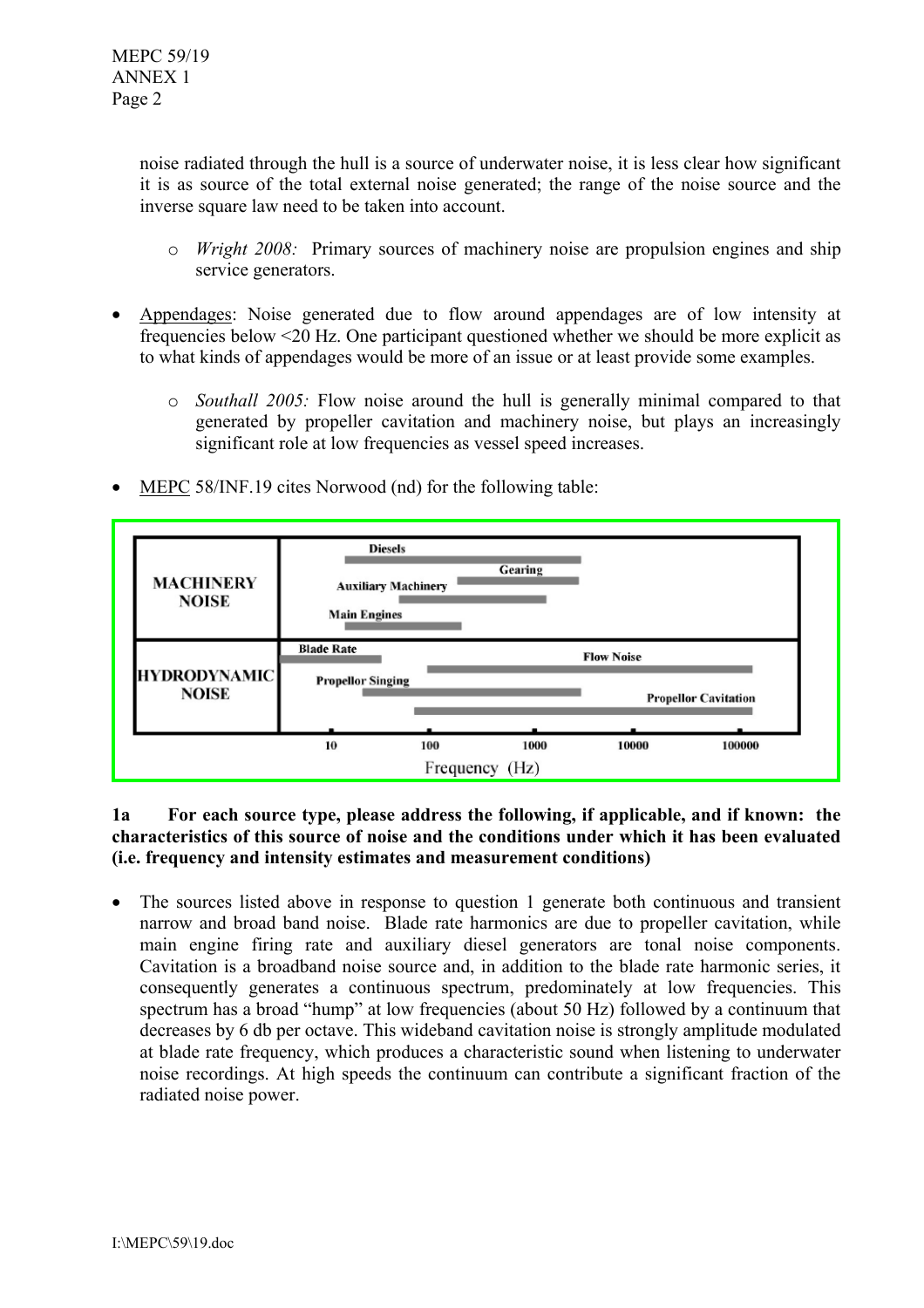noise radiated through the hull is a source of underwater noise, it is less clear how significant it is as source of the total external noise generated; the range of the noise source and the inverse square law need to be taken into account.

- $\circ$  *Wright 2008*: Primary sources of machinery noise are propulsion engines and ship service generators.
- Appendages: Noise generated due to flow around appendages are of low intensity at frequencies below <20 Hz. One participant questioned whether we should be more explicit as to what kinds of appendages would be more of an issue or at least provide some examples.
	- $\circ$  *Southall 2005*: Flow noise around the hull is generally minimal compared to that generated by propeller cavitation and machinery noise, but plays an increasingly significant role at low frequencies as vessel speed increases.
- MEPC 58/INF.19 cites Norwood (nd) for the following table:



### $1a$ For each source type, please address the following, if applicable, and if known: the characteristics of this source of noise and the conditions under which it has been evaluated (i.e. frequency and intensity estimates and measurement conditions)

The sources listed above in response to question 1 generate both continuous and transient narrow and broad band noise. Blade rate harmonics are due to propeller cavitation, while main engine firing rate and auxiliary diesel generators are tonal noise components. Cavitation is a broadband noise source and, in addition to the blade rate harmonic series, it consequently generates a continuous spectrum, predominately at low frequencies. This spectrum has a broad "hump" at low frequencies (about 50 Hz) followed by a continuum that decreases by 6 db per octave. This wideband cavitation noise is strongly amplitude modulated at blade rate frequency, which produces a characteristic sound when listening to underwater noise recordings. At high speeds the continuum can contribute a significant fraction of the radiated noise power.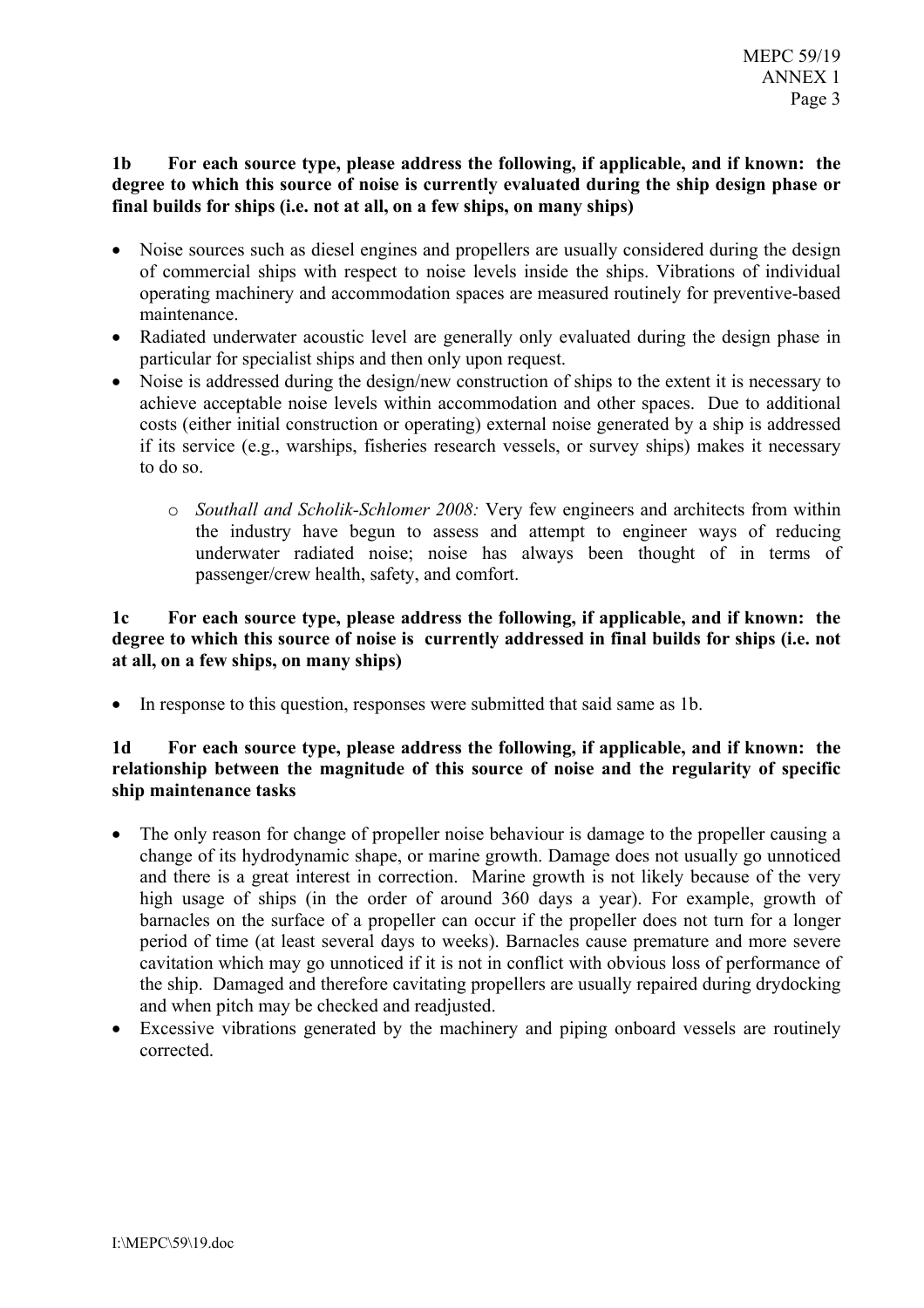### For each source type, please address the following, if applicable, and if known: the  $1<sub>b</sub>$ degree to which this source of noise is currently evaluated during the ship design phase or final builds for ships (i.e. not at all, on a few ships, on many ships)

- Noise sources such as diesel engines and propellers are usually considered during the design of commercial ships with respect to noise levels inside the ships. Vibrations of individual operating machinery and accommodation spaces are measured routinely for preventive-based maintenance
- Radiated underwater acoustic level are generally only evaluated during the design phase in particular for specialist ships and then only upon request.
- Noise is addressed during the design/new construction of ships to the extent it is necessary to achieve acceptable noise levels within accommodation and other spaces. Due to additional costs (either initial construction or operating) external noise generated by a ship is addressed if its service (e.g., warships, fisheries research vessels, or survey ships) makes it necessary to do so
	- $\circ$  Southall and Scholik-Schlomer 2008: Very few engineers and architects from within the industry have begun to assess and attempt to engineer ways of reducing underwater radiated noise; noise has always been thought of in terms of passenger/crew health, safety, and comfort.

### $1<sub>c</sub>$ For each source type, please address the following, if applicable, and if known: the degree to which this source of noise is currently addressed in final builds for ships (i.e. not at all, on a few ships, on many ships)

• In response to this question, responses were submitted that said same as 1b.

### For each source type, please address the following, if applicable, and if known: the  $1<sub>d</sub>$ relationship between the magnitude of this source of noise and the regularity of specific ship maintenance tasks

- The only reason for change of propeller noise behaviour is damage to the propeller causing a change of its hydrodynamic shape, or marine growth. Damage does not usually go unnoticed and there is a great interest in correction. Marine growth is not likely because of the very high usage of ships (in the order of around 360 days a year). For example, growth of barnacles on the surface of a propeller can occur if the propeller does not turn for a longer period of time (at least several days to weeks). Barnacles cause premature and more severe cavitation which may go unnoticed if it is not in conflict with obvious loss of performance of the ship. Damaged and therefore cavitating propellers are usually repaired during drydocking and when pitch may be checked and readjusted.
- Excessive vibrations generated by the machinery and piping onboard vessels are routinely corrected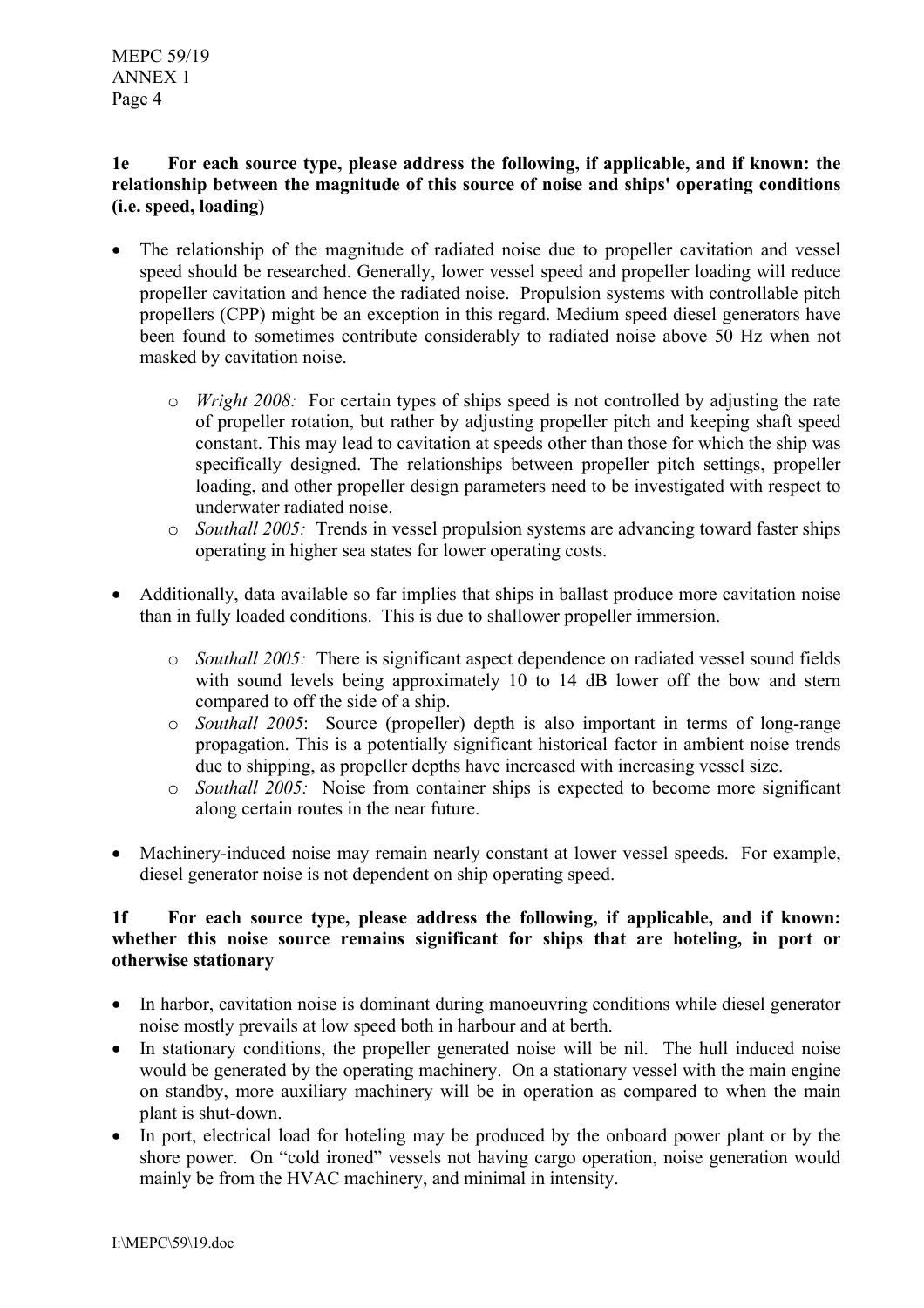### $1e$ For each source type, please address the following, if applicable, and if known: the relationship between the magnitude of this source of noise and ships' operating conditions (*i.e.* speed, loading)

- The relationship of the magnitude of radiated noise due to propeller cavitation and vessel speed should be researched. Generally, lower vessel speed and propeller loading will reduce propeller cavitation and hence the radiated noise. Propulsion systems with controllable pitch propellers (CPP) might be an exception in this regard. Medium speed diesel generators have been found to sometimes contribute considerably to radiated noise above 50 Hz when not masked by cavitation noise.
	- $\circ$  *Wright 2008*: For certain types of ships speed is not controlled by adjusting the rate of propeller rotation, but rather by adjusting propeller pitch and keeping shaft speed constant. This may lead to cavitation at speeds other than those for which the ship was specifically designed. The relationships between propeller pitch settings, propeller loading, and other propeller design parameters need to be investigated with respect to underwater radiated noise.
	- o Southall 2005: Trends in vessel propulsion systems are advancing toward faster ships operating in higher sea states for lower operating costs.
- Additionally, data available so far implies that ships in ballast produce more cavitation noise than in fully loaded conditions. This is due to shallower propeller immersion.
	- o Southall 2005: There is significant aspect dependence on radiated vessel sound fields with sound levels being approximately 10 to 14 dB lower off the bow and stern compared to off the side of a ship.
	- o *Southall 2005*: Source (propeller) depth is also important in terms of long-range propagation. This is a potentially significant historical factor in ambient noise trends due to shipping, as propeller depths have increased with increasing vessel size.
	- Southall 2005: Noise from container ships is expected to become more significant  $\circ$ along certain routes in the near future.
- Machinery-induced noise may remain nearly constant at lower vessel speeds. For example, diesel generator noise is not dependent on ship operating speed.

### For each source type, please address the following, if applicable, and if known:  $1<sub>f</sub>$ whether this noise source remains significant for ships that are hoteling, in port or otherwise stationary

- In harbor, cavitation noise is dominant during manoeuvring conditions while diesel generator noise mostly prevails at low speed both in harbour and at berth.
- In stationary conditions, the propeller generated noise will be nil. The hull induced noise would be generated by the operating machinery. On a stationary vessel with the main engine on standby, more auxiliary machinery will be in operation as compared to when the main plant is shut-down.
- In port, electrical load for hoteling may be produced by the onboard power plant or by the shore power. On "cold ironed" vessels not having cargo operation, noise generation would mainly be from the HVAC machinery, and minimal in intensity.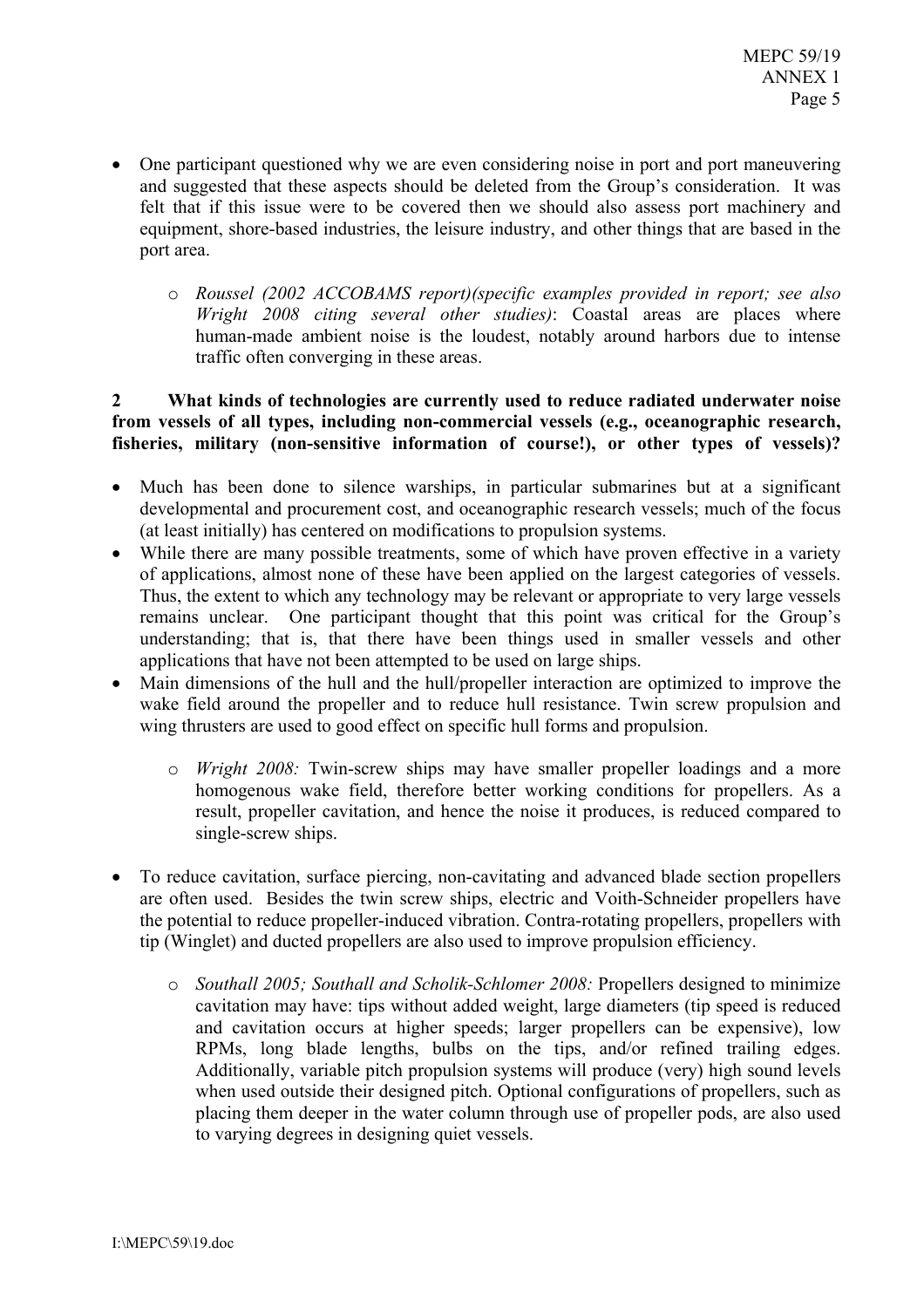- One participant questioned why we are even considering noise in port and port maneuvering and suggested that these aspects should be deleted from the Group's consideration. It was felt that if this issue were to be covered then we should also assess port machinery and equipment, shore-based industries, the leisure industry, and other things that are based in the port area.
	- o Roussel (2002 ACCOBAMS report)(specific examples provided in report; see also Wright 2008 citing several other studies): Coastal areas are places where human-made ambient noise is the loudest, notably around harbors due to intense traffic often converging in these areas.

### $2^{\circ}$ What kinds of technologies are currently used to reduce radiated underwater noise from vessels of all types, including non-commercial vessels (e.g., oceanographic research, fisheries, military (non-sensitive information of course!), or other types of vessels)?

- Much has been done to silence warships, in particular submarines but at a significant developmental and procurement cost, and oceanographic research vessels; much of the focus (at least initially) has centered on modifications to propulsion systems.
- While there are many possible treatments, some of which have proven effective in a variety of applications, almost none of these have been applied on the largest categories of vessels. Thus, the extent to which any technology may be relevant or appropriate to very large vessels remains unclear. One participant thought that this point was critical for the Group's understanding; that is, that there have been things used in smaller vessels and other applications that have not been attempted to be used on large ships.
- Main dimensions of the hull and the hull/propeller interaction are optimized to improve the wake field around the propeller and to reduce hull resistance. Twin screw propulsion and wing thrusters are used to good effect on specific hull forms and propulsion.
	- o *Wright 2008*: Twin-screw ships may have smaller propeller loadings and a more homogenous wake field, therefore better working conditions for propellers. As a result, propeller cavitation, and hence the noise it produces, is reduced compared to single-screw ships.
- To reduce cavitation, surface piercing, non-cavitating and advanced blade section propellers are often used. Besides the twin screw ships, electric and Voith-Schneider propellers have the potential to reduce propeller-induced vibration. Contra-rotating propellers, propellers with tip (Winglet) and ducted propellers are also used to improve propulsion efficiency.
	- Southall 2005; Southall and Scholik-Schlomer 2008: Propellers designed to minimize cavitation may have: tips without added weight, large diameters (tip speed is reduced and cavitation occurs at higher speeds; larger propellers can be expensive), low RPMs, long blade lengths, bulbs on the tips, and/or refined trailing edges. Additionally, variable pitch propulsion systems will produce (very) high sound levels when used outside their designed pitch. Optional configurations of propellers, such as placing them deeper in the water column through use of propeller pods, are also used to varying degrees in designing quiet vessels.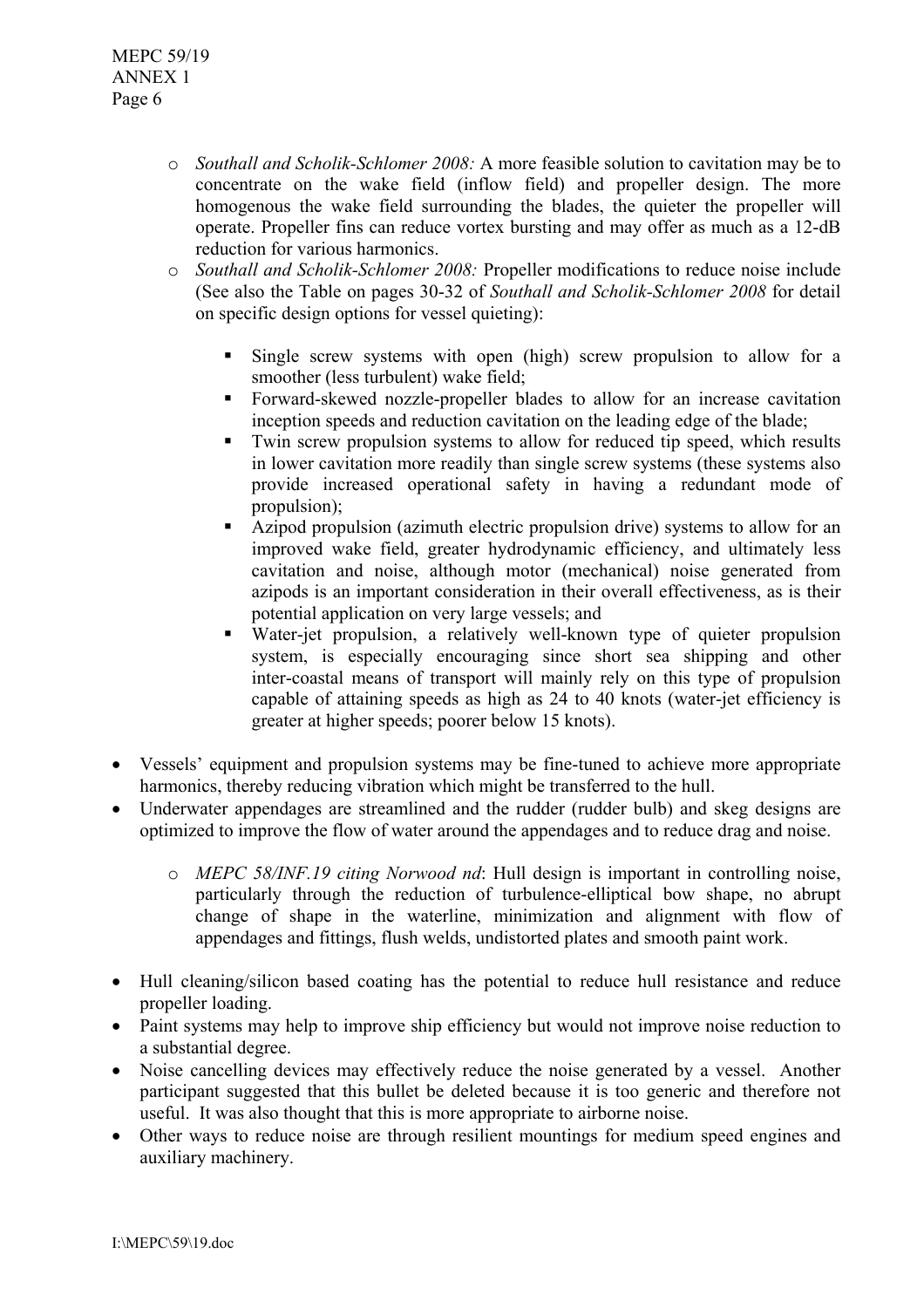- *Southall and Scholik-Schlomer 2008*: A more feasible solution to cavitation may be to concentrate on the wake field (inflow field) and propeller design. The more homogenous the wake field surrounding the blades, the quieter the propeller will operate. Propeller fins can reduce vortex bursting and may offer as much as a 12-dB reduction for various harmonics
- $\circ$  Southall and Scholik-Schlomer 2008: Propeller modifications to reduce noise include (See also the Table on pages 30-32 of Southall and Scholik-Schlomer 2008 for detail on specific design options for vessel quieting):
	- $\blacksquare$ Single screw systems with open (high) screw propulsion to allow for a smoother (less turbulent) wake field:
	- Forward-skewed nozzle-propeller blades to allow for an increase cavitation inception speeds and reduction cavitation on the leading edge of the blade;
	- Twin screw propulsion systems to allow for reduced tip speed, which results  $\mathbf{u}$  . in lower cavitation more readily than single screw systems (these systems also provide increased operational safety in having a redundant mode of propulsion);
	- Azipod propulsion (azimuth electric propulsion drive) systems to allow for an improved wake field, greater hydrodynamic efficiency, and ultimately less cavitation and noise, although motor (mechanical) noise generated from azipods is an important consideration in their overall effectiveness, as is their potential application on very large vessels; and
	- Water-jet propulsion, a relatively well-known type of quieter propulsion system, is especially encouraging since short sea shipping and other inter-coastal means of transport will mainly rely on this type of propulsion capable of attaining speeds as high as 24 to 40 knots (water-jet efficiency is greater at higher speeds; poorer below 15 knots).
- Vessels' equipment and propulsion systems may be fine-tuned to achieve more appropriate harmonics, thereby reducing vibration which might be transferred to the hull.
- Underwater appendages are streamlined and the rudder (rudder bulb) and skeg designs are optimized to improve the flow of water around the appendages and to reduce drag and noise.
	- o MEPC 58/INF.19 citing Norwood nd: Hull design is important in controlling noise, particularly through the reduction of turbulence-elliptical bow shape, no abrupt change of shape in the waterline, minimization and alignment with flow of appendages and fittings, flush welds, undistorted plates and smooth paint work.
- Hull cleaning/silicon based coating has the potential to reduce hull resistance and reduce propeller loading.
- Paint systems may help to improve ship efficiency but would not improve noise reduction to a substantial degree
- Noise cancelling devices may effectively reduce the noise generated by a vessel. Another participant suggested that this bullet be deleted because it is too generic and therefore not useful. It was also thought that this is more appropriate to airborne noise.
- Other ways to reduce noise are through resilient mountings for medium speed engines and auxiliary machinery.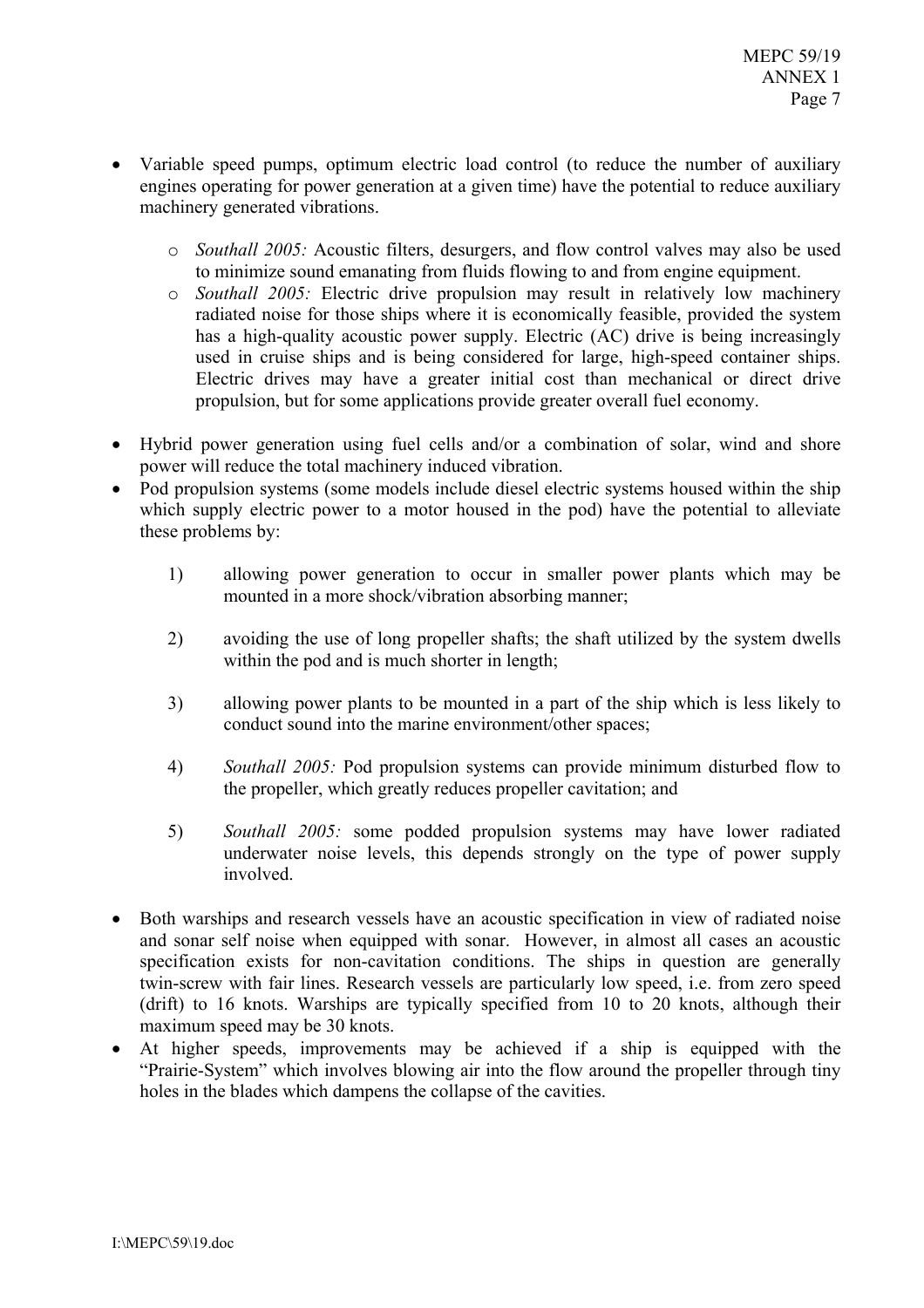- Variable speed pumps, optimum electric load control (to reduce the number of auxiliary engines operating for power generation at a given time) have the potential to reduce auxiliary machinery generated vibrations.
	- o Southall 2005: Acoustic filters, desurgers, and flow control valves may also be used to minimize sound emanating from fluids flowing to and from engine equipment.
	- o Southall 2005: Electric drive propulsion may result in relatively low machinery radiated noise for those ships where it is economically feasible, provided the system has a high-quality acoustic power supply. Electric (AC) drive is being increasingly used in cruise ships and is being considered for large, high-speed container ships. Electric drives may have a greater initial cost than mechanical or direct drive propulsion, but for some applications provide greater overall fuel economy.
- Hybrid power generation using fuel cells and/or a combination of solar, wind and shore power will reduce the total machinery induced vibration.
- Pod propulsion systems (some models include diesel electric systems housed within the ship which supply electric power to a motor housed in the pod) have the potential to alleviate these problems by:
	- allowing power generation to occur in smaller power plants which may be  $\overline{1}$ mounted in a more shock/vibration absorbing manner;
	- $(2)$ avoiding the use of long propeller shafts; the shaft utilized by the system dwells within the pod and is much shorter in length;
	- $3)$ allowing power plants to be mounted in a part of the ship which is less likely to conduct sound into the marine environment/other spaces;
	- 4) *Southall 2005:* Pod propulsion systems can provide minimum disturbed flow to the propeller, which greatly reduces propeller cavitation; and
	- $5)$ Southall 2005: some podded propulsion systems may have lower radiated underwater noise levels, this depends strongly on the type of power supply involved.
- Both warships and research vessels have an acoustic specification in view of radiated noise and sonar self noise when equipped with sonar. However, in almost all cases an acoustic specification exists for non-cavitation conditions. The ships in question are generally twin-screw with fair lines. Research vessels are particularly low speed, i.e. from zero speed (drift) to 16 knots. Warships are typically specified from 10 to 20 knots, although their maximum speed may be 30 knots.
- At higher speeds, improvements may be achieved if a ship is equipped with the "Prairie-System" which involves blowing air into the flow around the propeller through tiny holes in the blades which dampens the collapse of the cavities.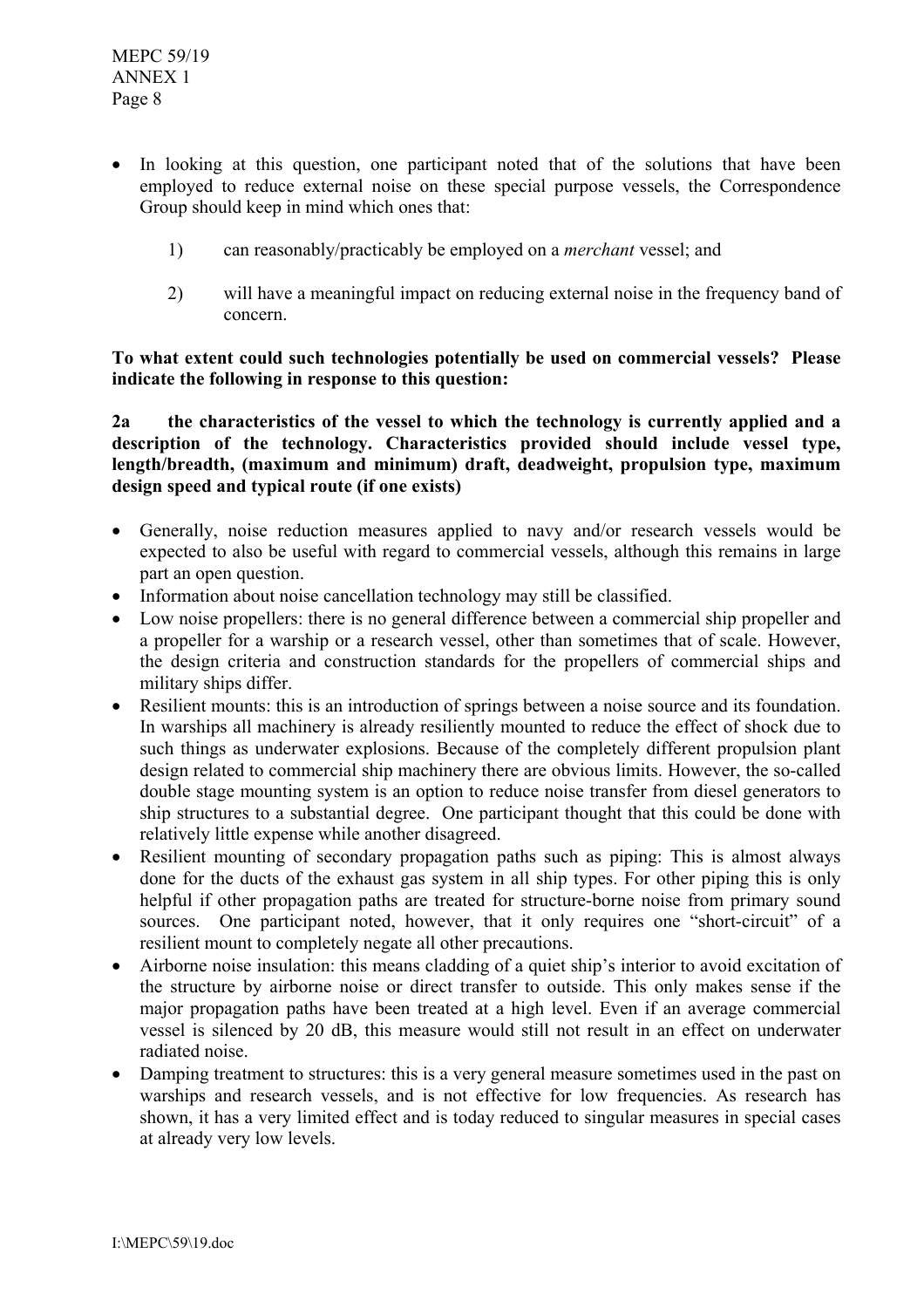- In looking at this question, one participant noted that of the solutions that have been employed to reduce external noise on these special purpose vessels, the Correspondence Group should keep in mind which ones that:
	- can reasonably/practicably be employed on a *merchant* vessel; and  $1)$
	- $(2)$ will have a meaningful impact on reducing external noise in the frequency band of concern

To what extent could such technologies potentially be used on commercial vessels? Please indicate the following in response to this question:

the characteristics of the vessel to which the technology is currently applied and a  $2a$ description of the technology. Characteristics provided should include vessel type, length/breadth, (maximum and minimum) draft, deadweight, propulsion type, maximum design speed and typical route (if one exists)

- Generally, noise reduction measures applied to navy and/or research vessels would be expected to also be useful with regard to commercial vessels, although this remains in large part an open question.
- Information about noise cancellation technology may still be classified.
- Low noise propellers: there is no general difference between a commercial ship propeller and a propeller for a warship or a research vessel, other than sometimes that of scale. However, the design criteria and construction standards for the propellers of commercial ships and military ships differ.
- Resilient mounts: this is an introduction of springs between a noise source and its foundation. In warships all machinery is already resiliently mounted to reduce the effect of shock due to such things as underwater explosions. Because of the completely different propulsion plant design related to commercial ship machinery there are obvious limits. However, the so-called double stage mounting system is an option to reduce noise transfer from diesel generators to ship structures to a substantial degree. One participant thought that this could be done with relatively little expense while another disagreed.
- Resilient mounting of secondary propagation paths such as piping: This is almost always  $\bullet$ done for the ducts of the exhaust gas system in all ship types. For other piping this is only helpful if other propagation paths are treated for structure-borne noise from primary sound sources. One participant noted, however, that it only requires one "short-circuit" of a resilient mount to completely negate all other precautions.
- Airborne noise insulation: this means cladding of a quiet ship's interior to avoid excitation of the structure by airborne noise or direct transfer to outside. This only makes sense if the major propagation paths have been treated at a high level. Even if an average commercial vessel is silenced by 20 dB, this measure would still not result in an effect on underwater radiated noise
- Damping treatment to structures: this is a very general measure sometimes used in the past on warships and research vessels, and is not effective for low frequencies. As research has shown, it has a very limited effect and is today reduced to singular measures in special cases at already very low levels.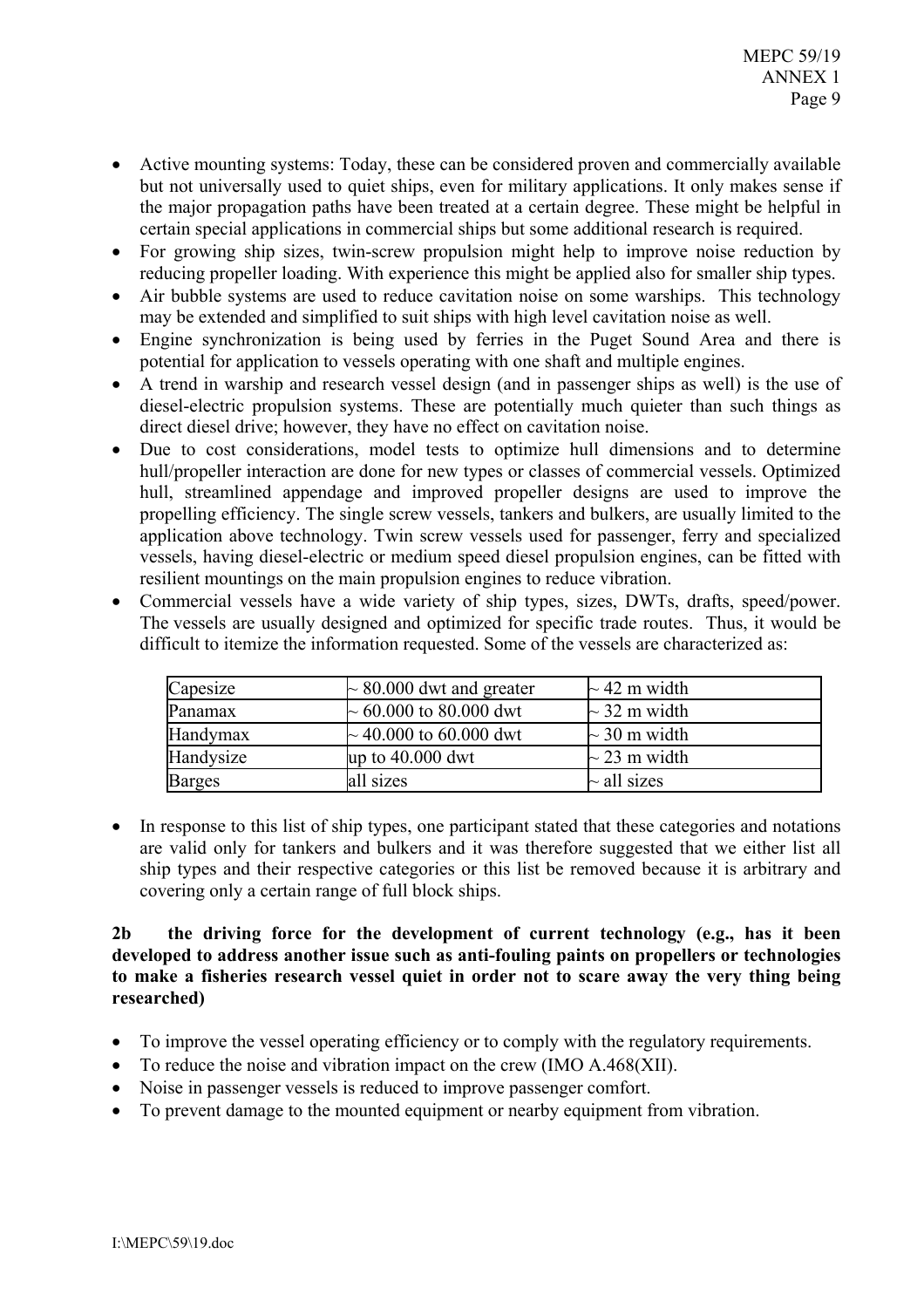- Active mounting systems: Today, these can be considered proven and commercially available but not universally used to quiet ships, even for military applications. It only makes sense if the major propagation paths have been treated at a certain degree. These might be helpful in certain special applications in commercial ships but some additional research is required.
- For growing ship sizes, twin-screw propulsion might help to improve noise reduction by reducing propeller loading. With experience this might be applied also for smaller ship types.
- Air bubble systems are used to reduce cavitation noise on some warships. This technology may be extended and simplified to suit ships with high level cavitation noise as well.
- Engine synchronization is being used by ferries in the Puget Sound Area and there is potential for application to vessels operating with one shaft and multiple engines.
- A trend in warship and research vessel design (and in passenger ships as well) is the use of  $\bullet$ diesel-electric propulsion systems. These are potentially much quieter than such things as direct diesel drive; however, they have no effect on cavitation noise.
- Due to cost considerations, model tests to optimize hull dimensions and to determine hull/propeller interaction are done for new types or classes of commercial vessels. Optimized hull, streamlined appendage and improved propeller designs are used to improve the propelling efficiency. The single screw vessels, tankers and bulkers, are usually limited to the application above technology. Twin screw vessels used for passenger, ferry and specialized vessels, having diesel-electric or medium speed diesel propulsion engines, can be fitted with resilient mountings on the main propulsion engines to reduce vibration.
- Commercial vessels have a wide variety of ship types, sizes, DWTs, drafts, speed/power. The vessels are usually designed and optimized for specific trade routes. Thus, it would be difficult to itemize the information requested. Some of the vessels are characterized as:

| Capesize      | $\sim$ 80.000 dwt and greater | $\sim$ 42 m width |
|---------------|-------------------------------|-------------------|
| Panamax       | $\sim 60.000$ to 80.000 dwt   | $\sim$ 32 m width |
| Handymax      | $\sim$ 40.000 to 60.000 dwt   | $\sim$ 30 m width |
| Handysize     | up to 40.000 dwt              | $\sim$ 23 m width |
| <b>Barges</b> | all sizes                     | $\sim$ all sizes  |

• In response to this list of ship types, one participant stated that these categories and notations are valid only for tankers and bulkers and it was therefore suggested that we either list all ship types and their respective categories or this list be removed because it is arbitrary and covering only a certain range of full block ships.

## $2<sub>b</sub>$ the driving force for the development of current technology (e.g., has it been developed to address another issue such as anti-fouling paints on propellers or technologies to make a fisheries research vessel quiet in order not to scare away the very thing being researched)

- To improve the vessel operating efficiency or to comply with the regulatory requirements.
- To reduce the noise and vibration impact on the crew  $(IMO A.468(XII))$ .
- Noise in passenger vessels is reduced to improve passenger comfort.
- To prevent damage to the mounted equipment or nearby equipment from vibration.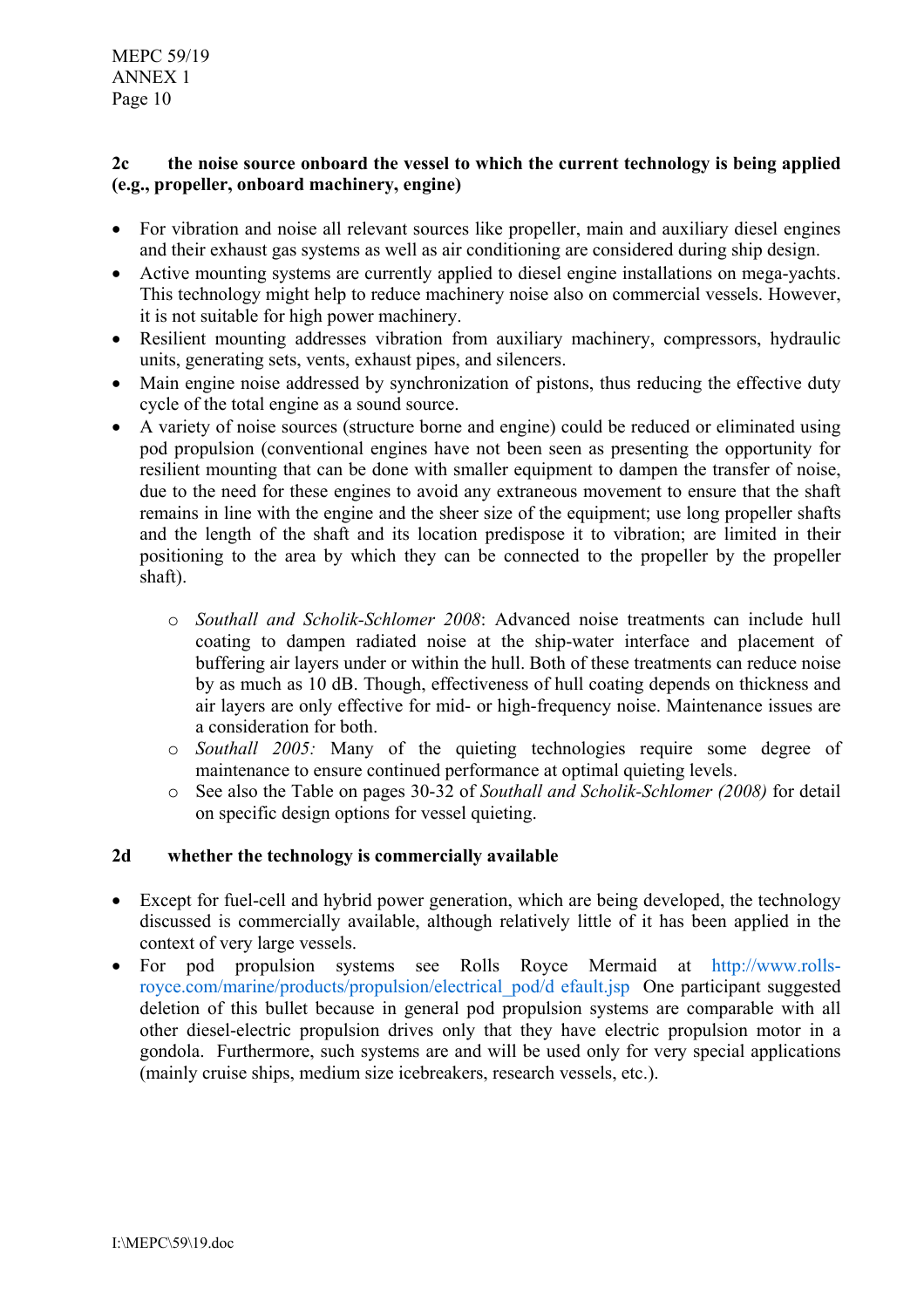**MEPC 59/19 ANNEX 1** Page 10

### $2<sub>c</sub>$ the noise source onboard the vessel to which the current technology is being applied (e.g., propeller, onboard machinery, engine)

- For vibration and noise all relevant sources like propeller, main and auxiliary diesel engines and their exhaust gas systems as well as air conditioning are considered during ship design.
- Active mounting systems are currently applied to diesel engine installations on mega-yachts. This technology might help to reduce machinery noise also on commercial vessels. However, it is not suitable for high power machinery.
- Resilient mounting addresses vibration from auxiliary machinery, compressors, hydraulic units, generating sets, vents, exhaust pipes, and silencers.
- Main engine noise addressed by synchronization of pistons, thus reducing the effective duty cycle of the total engine as a sound source.
- A variety of noise sources (structure borne and engine) could be reduced or eliminated using pod propulsion (conventional engines have not been seen as presenting the opportunity for resilient mounting that can be done with smaller equipment to dampen the transfer of noise. due to the need for these engines to avoid any extraneous movement to ensure that the shaft remains in line with the engine and the sheer size of the equipment; use long propeller shafts and the length of the shaft and its location predispose it to vibration; are limited in their positioning to the area by which they can be connected to the propeller by the propeller shaft).
	- o Southall and Scholik-Schlomer 2008: Advanced noise treatments can include hull coating to dampen radiated noise at the ship-water interface and placement of buffering air layers under or within the hull. Both of these treatments can reduce noise by as much as 10 dB. Though, effectiveness of hull coating depends on thickness and air layers are only effective for mid- or high-frequency noise. Maintenance issues are a consideration for both.
	- o Southall 2005: Many of the quieting technologies require some degree of maintenance to ensure continued performance at optimal quieting levels.
	- See also the Table on pages 30-32 of Southall and Scholik-Schlomer (2008) for detail  $\circ$ on specific design options for vessel quieting.

#### $2d$ whether the technology is commercially available

- Except for fuel-cell and hybrid power generation, which are being developed, the technology discussed is commercially available, although relatively little of it has been applied in the context of very large vessels.
- For pod propulsion systems see Rolls Royce Mermaid at http://www.rollsroyce.com/marine/products/propulsion/electrical\_pod/d\_efault.jsp One participant suggested deletion of this bullet because in general pod propulsion systems are comparable with all other diesel-electric propulsion drives only that they have electric propulsion motor in a gondola. Furthermore, such systems are and will be used only for very special applications (mainly cruise ships, medium size icebreakers, research vessels, etc.).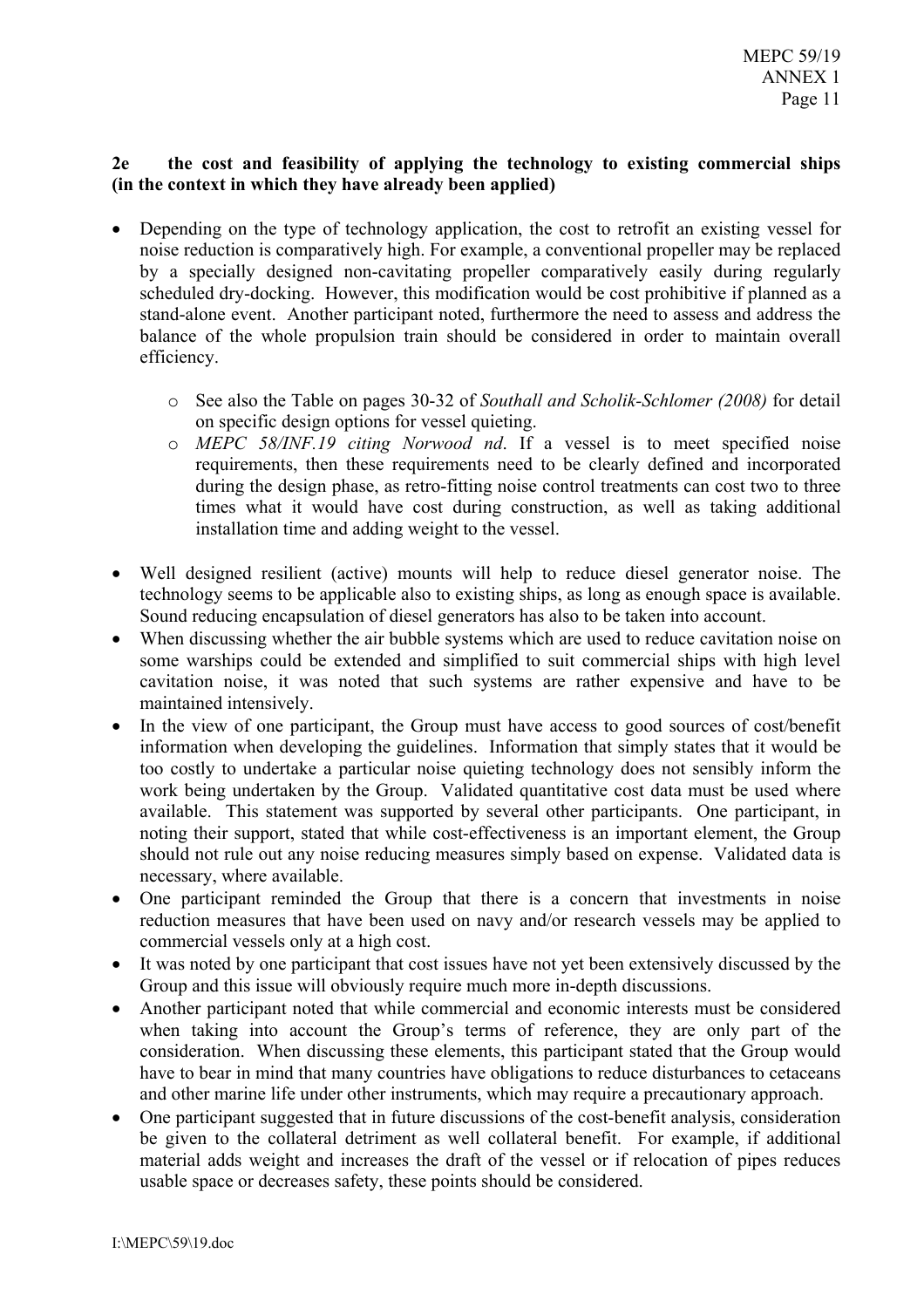#### $2e$ the cost and feasibility of applying the technology to existing commercial ships (in the context in which they have already been applied)

- Depending on the type of technology application, the cost to retrofit an existing vessel for  $\bullet$ noise reduction is comparatively high. For example, a conventional propeller may be replaced by a specially designed non-cavitating propeller comparatively easily during regularly scheduled dry-docking. However, this modification would be cost prohibitive if planned as a stand-alone event. Another participant noted, furthermore the need to assess and address the balance of the whole propulsion train should be considered in order to maintain overall efficiency.
	- See also the Table on pages 30-32 of Southall and Scholik-Schlomer (2008) for detail on specific design options for vessel quieting.
	- o MEPC 58/INF.19 citing Norwood nd. If a vessel is to meet specified noise requirements, then these requirements need to be clearly defined and incorporated during the design phase, as retro-fitting noise control treatments can cost two to three times what it would have cost during construction, as well as taking additional installation time and adding weight to the vessel.
- Well designed resilient (active) mounts will help to reduce diesel generator noise. The technology seems to be applicable also to existing ships, as long as enough space is available. Sound reducing encapsulation of diesel generators has also to be taken into account.
- When discussing whether the air bubble systems which are used to reduce cavitation noise on some warships could be extended and simplified to suit commercial ships with high level cavitation noise, it was noted that such systems are rather expensive and have to be maintained intensively.
- In the view of one participant, the Group must have access to good sources of cost/benefit information when developing the guidelines. Information that simply states that it would be too costly to undertake a particular noise quieting technology does not sensibly inform the work being undertaken by the Group. Validated quantitative cost data must be used where available. This statement was supported by several other participants. One participant, in noting their support, stated that while cost-effectiveness is an important element, the Group should not rule out any noise reducing measures simply based on expense. Validated data is necessary, where available.
- One participant reminded the Group that there is a concern that investments in noise reduction measures that have been used on navy and/or research vessels may be applied to commercial vessels only at a high cost.
- It was noted by one participant that cost issues have not yet been extensively discussed by the Group and this issue will obviously require much more in-depth discussions.
- Another participant noted that while commercial and economic interests must be considered when taking into account the Group's terms of reference, they are only part of the consideration. When discussing these elements, this participant stated that the Group would have to bear in mind that many countries have obligations to reduce disturbances to cetaceans and other marine life under other instruments, which may require a precautionary approach.
- One participant suggested that in future discussions of the cost-benefit analysis, consideration be given to the collateral detriment as well collateral benefit. For example, if additional material adds weight and increases the draft of the vessel or if relocation of pipes reduces usable space or decreases safety, these points should be considered.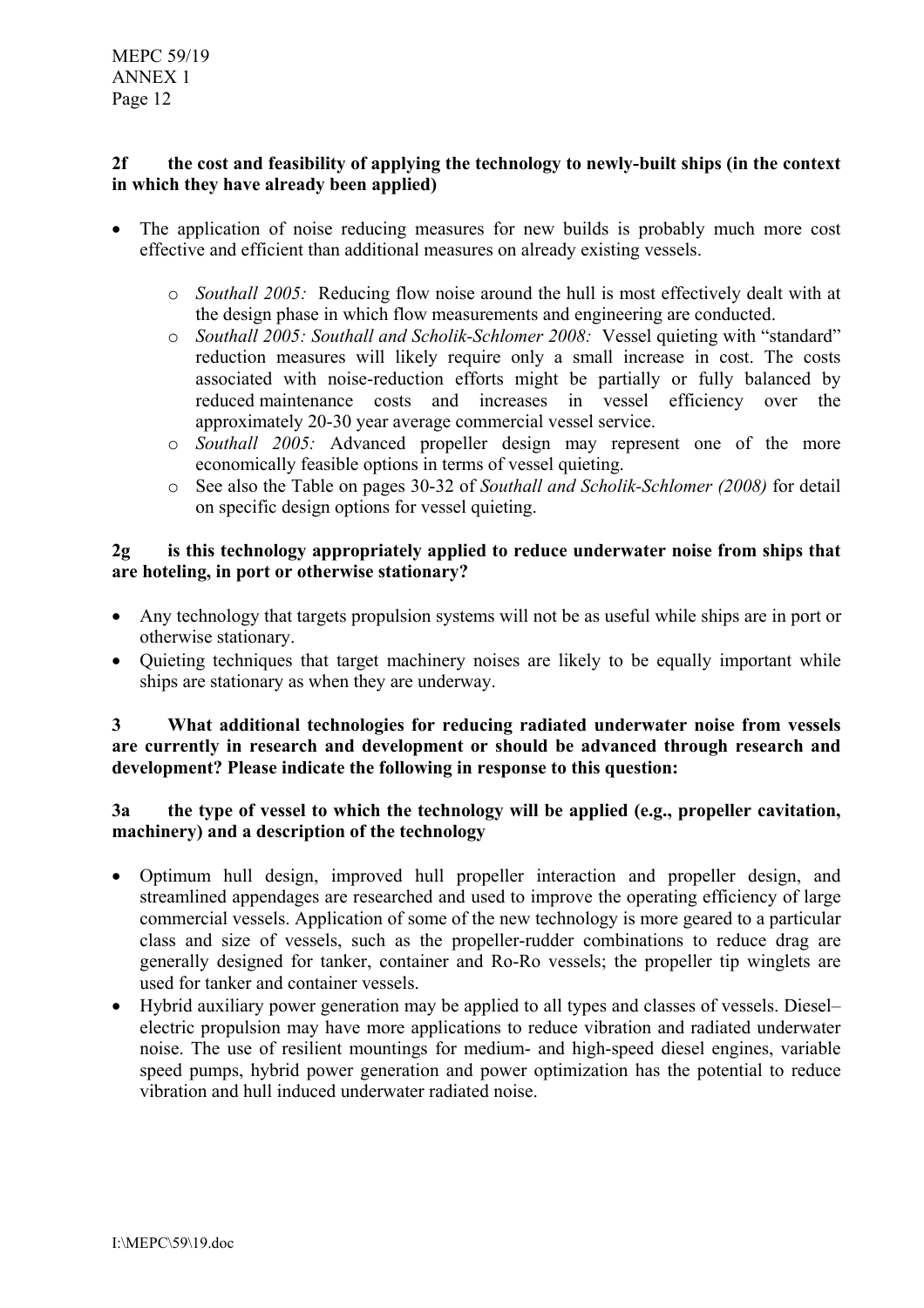### the cost and feasibility of applying the technology to newly-built ships (in the context  $2f$ in which they have already been applied)

- The application of noise reducing measures for new builds is probably much more cost effective and efficient than additional measures on already existing vessels.
	- o Southall 2005: Reducing flow noise around the hull is most effectively dealt with at the design phase in which flow measurements and engineering are conducted.
	- Southall 2005: Southall and Scholik-Schlomer 2008: Vessel quieting with "standard"  $\circ$ reduction measures will likely require only a small increase in cost. The costs associated with noise-reduction efforts might be partially or fully balanced by reduced maintenance costs and increases in vessel efficiency over the approximately 20-30 year average commercial vessel service.
	- o Southall 2005: Advanced propeller design may represent one of the more economically feasible options in terms of vessel quieting.
	- See also the Table on pages 30-32 of Southall and Scholik-Schlomer (2008) for detail  $\circ$ on specific design options for vessel quieting.

### $2\sigma$ is this technology appropriately applied to reduce underwater noise from ships that are hoteling, in port or otherwise stationary?

- Any technology that targets propulsion systems will not be as useful while ships are in port or otherwise stationary.
- Quieting techniques that target machinery noises are likely to be equally important while ships are stationary as when they are underway.

### What additional technologies for reducing radiated underwater noise from vessels  $\overline{3}$ are currently in research and development or should be advanced through research and development? Please indicate the following in response to this question:

### $3a$ the type of vessel to which the technology will be applied (e.g., propeller cavitation, machinery) and a description of the technology

- Optimum hull design, improved hull propeller interaction and propeller design, and streamlined appendages are researched and used to improve the operating efficiency of large commercial vessels. Application of some of the new technology is more geared to a particular class and size of vessels, such as the propeller-rudder combinations to reduce drag are generally designed for tanker, container and Ro-Ro vessels; the propeller tip winglets are used for tanker and container vessels.
- Hybrid auxiliary power generation may be applied to all types and classes of vessels. Dieselelectric propulsion may have more applications to reduce vibration and radiated underwater noise. The use of resilient mountings for medium- and high-speed diesel engines, variable speed pumps, hybrid power generation and power optimization has the potential to reduce vibration and hull induced underwater radiated noise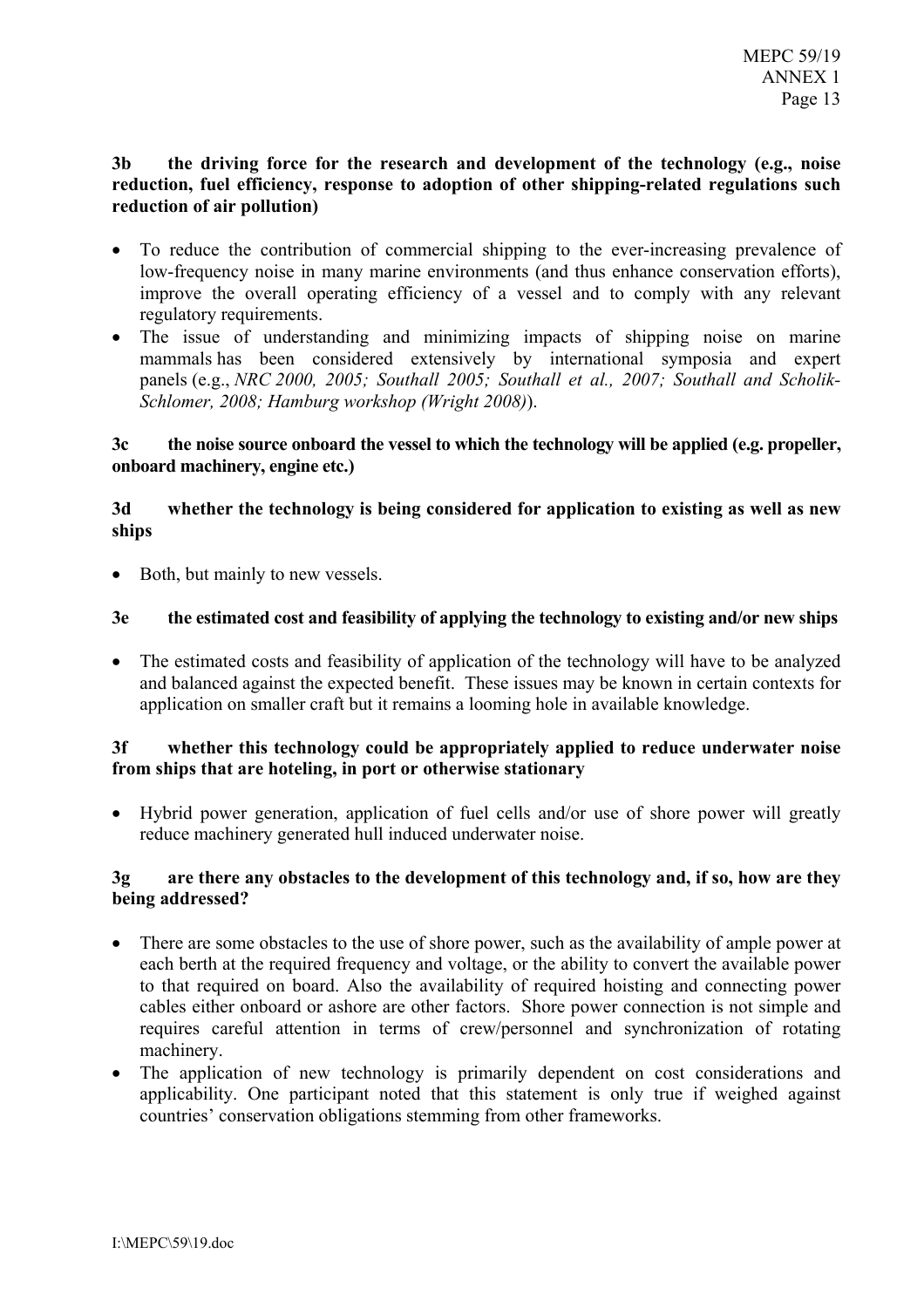### $3<sub>h</sub>$ the driving force for the research and development of the technology (e.g., noise reduction, fuel efficiency, response to adoption of other shipping-related regulations such reduction of air pollution)

- To reduce the contribution of commercial shipping to the ever-increasing prevalence of low-frequency noise in many marine environments (and thus enhance conservation efforts), improve the overall operating efficiency of a vessel and to comply with any relevant regulatory requirements.
- The issue of understanding and minimizing impacts of shipping noise on marine mammals has been considered extensively by international symposia and expert panels (e.g., NRC 2000, 2005; Southall 2005; Southall et al., 2007; Southall and Scholik-Schlomer, 2008; Hamburg workshop (Wright 2008)).

#### the noise source onboard the vessel to which the technology will be applied (e.g. propeller,  $3c$ onboard machinery, engine etc.)

### whether the technology is being considered for application to existing as well as new  $3d$ ships

• Both, but mainly to new vessels.

#### $3<sub>e</sub>$ the estimated cost and feasibility of applying the technology to existing and/or new ships

• The estimated costs and feasibility of application of the technology will have to be analyzed and balanced against the expected benefit. These issues may be known in certain contexts for application on smaller craft but it remains a looming hole in available knowledge.

#### whether this technology could be appropriately applied to reduce underwater noise  $3f$ from ships that are hoteling, in port or otherwise stationary

• Hybrid power generation, application of fuel cells and/or use of shore power will greatly reduce machinery generated hull induced underwater noise.

#### $3\sigma$ are there any obstacles to the development of this technology and, if so, how are they being addressed?

- There are some obstacles to the use of shore power, such as the availability of ample power at each berth at the required frequency and voltage, or the ability to convert the available power to that required on board. Also the availability of required hoisting and connecting power cables either onboard or ashore are other factors. Shore power connection is not simple and requires careful attention in terms of crew/personnel and synchronization of rotating machinery.
- The application of new technology is primarily dependent on cost considerations and applicability. One participant noted that this statement is only true if weighed against countries' conservation obligations stemming from other frameworks.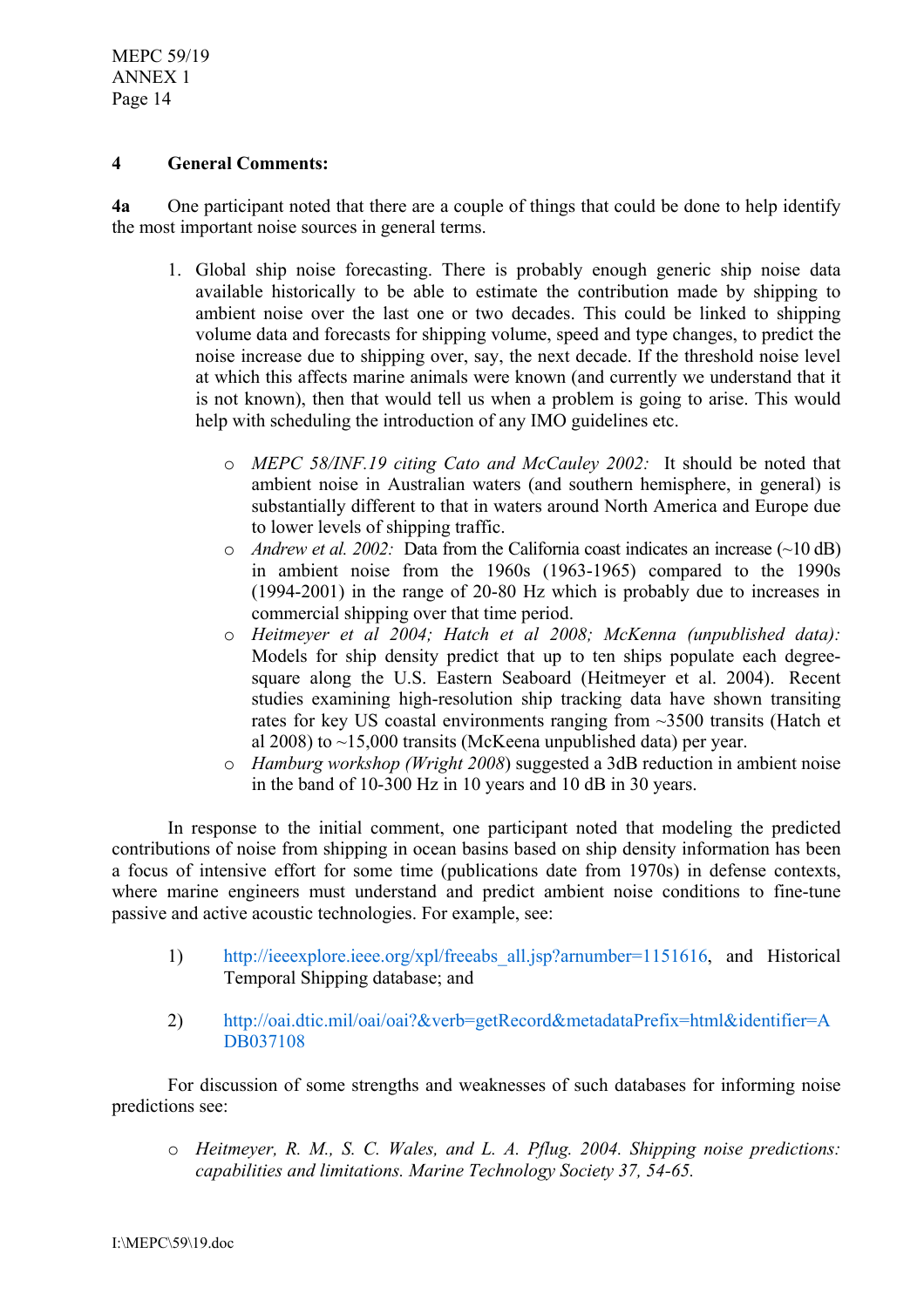**MEPC 59/19 ANNEX 1** Page 14

#### $\overline{\mathbf{4}}$ **General Comments:**

 $4a$ One participant noted that there are a couple of things that could be done to help identify the most important noise sources in general terms.

- 1. Global ship noise forecasting. There is probably enough generic ship noise data available historically to be able to estimate the contribution made by shipping to ambient noise over the last one or two decades. This could be linked to shipping volume data and forecasts for shipping volume, speed and type changes, to predict the noise increase due to shipping over, say, the next decade. If the threshold noise level at which this affects marine animals were known (and currently we understand that it is not known), then that would tell us when a problem is going to arise. This would help with scheduling the introduction of any IMO guidelines etc.
	- o MEPC 58/INF.19 citing Cato and McCauley 2002: It should be noted that ambient noise in Australian waters (and southern hemisphere, in general) is substantially different to that in waters around North America and Europe due to lower levels of shipping traffic.
	- $\circ$  *Andrew et al. 2002*: Data from the California coast indicates an increase (~10 dB) in ambient noise from the 1960s (1963-1965) compared to the 1990s  $(1994-2001)$  in the range of 20-80 Hz which is probably due to increases in commercial shipping over that time period.
	- o Heitmeyer et al 2004; Hatch et al 2008; McKenna (unpublished data): Models for ship density predict that up to ten ships populate each degreesquare along the U.S. Eastern Seaboard (Heitmeyer et al. 2004). Recent studies examining high-resolution ship tracking data have shown transiting rates for key US coastal environments ranging from  $\sim$ 3500 transits (Hatch et al 2008) to  $\sim$ 15,000 transits (McKeena unpublished data) per year.
	- $\circ$  *Hamburg workshop (Wright 2008)* suggested a 3dB reduction in ambient noise in the band of 10-300 Hz in 10 years and 10 dB in 30 years.

In response to the initial comment, one participant noted that modeling the predicted contributions of noise from shipping in ocean basins based on ship density information has been a focus of intensive effort for some time (publications date from 1970s) in defense contexts, where marine engineers must understand and predict ambient noise conditions to fine-tune passive and active acoustic technologies. For example, see:

- $1)$ http://ieeexplore.ieee.org/xpl/freeabs all.jsp?arnumber=1151616, and Historical Temporal Shipping database; and
- $(2)$ http://oai.dtic.mil/oai/oai?&verb=getRecord&metadataPrefix=html&identifier=A DB037108

For discussion of some strengths and weaknesses of such databases for informing noise predictions see:

o Heitmever, R. M., S. C. Wales, and L. A. Pflug. 2004. Shipping noise predictions: capabilities and limitations. Marine Technology Society 37, 54-65.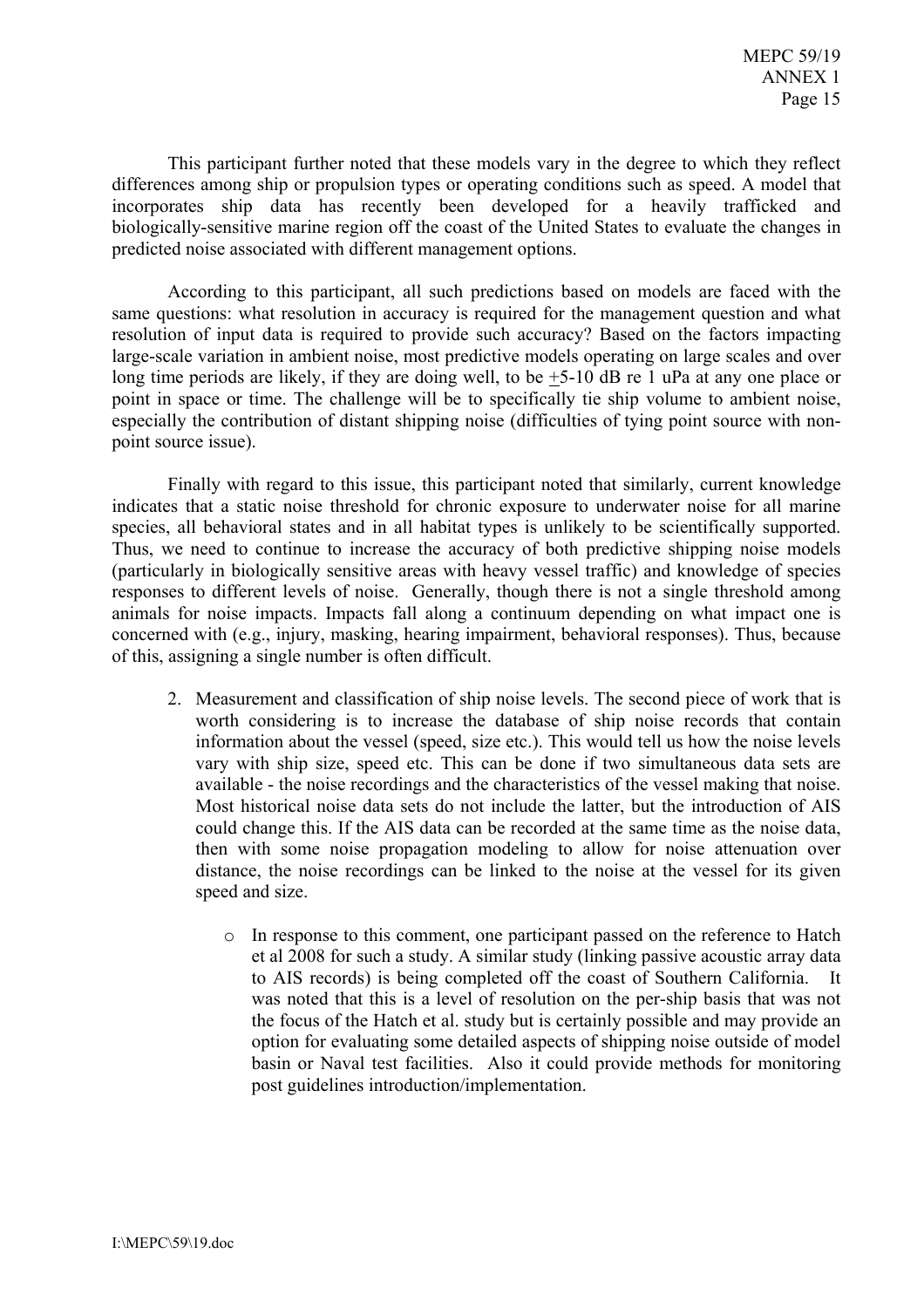This participant further noted that these models vary in the degree to which they reflect differences among ship or propulsion types or operating conditions such as speed. A model that incorporates ship data has recently been developed for a heavily trafficked and biologically-sensitive marine region off the coast of the United States to evaluate the changes in predicted noise associated with different management options.

According to this participant, all such predictions based on models are faced with the same questions: what resolution in accuracy is required for the management question and what resolution of input data is required to provide such accuracy? Based on the factors impacting large-scale variation in ambient noise, most predictive models operating on large scales and over long time periods are likely, if they are doing well, to be  $+5-10$  dB re 1 uPa at any one place or point in space or time. The challenge will be to specifically tie ship volume to ambient noise, especially the contribution of distant shipping noise (difficulties of tying point source with nonpoint source issue).

Finally with regard to this issue, this participant noted that similarly, current knowledge indicates that a static noise threshold for chronic exposure to underwater noise for all marine species, all behavioral states and in all habitat types is unlikely to be scientifically supported. Thus, we need to continue to increase the accuracy of both predictive shipping noise models (particularly in biologically sensitive areas with heavy vessel traffic) and knowledge of species responses to different levels of noise. Generally, though there is not a single threshold among animals for noise impacts. Impacts fall along a continuum depending on what impact one is concerned with (e.g., injury, masking, hearing impairment, behavioral responses). Thus, because of this, assigning a single number is often difficult.

- 2. Measurement and classification of ship noise levels. The second piece of work that is worth considering is to increase the database of ship noise records that contain information about the vessel (speed, size etc.). This would tell us how the noise levels vary with ship size, speed etc. This can be done if two simultaneous data sets are available - the noise recordings and the characteristics of the vessel making that noise. Most historical noise data sets do not include the latter, but the introduction of AIS could change this. If the AIS data can be recorded at the same time as the noise data. then with some noise propagation modeling to allow for noise attenuation over distance, the noise recordings can be linked to the noise at the vessel for its given speed and size.
	- o In response to this comment, one participant passed on the reference to Hatch et al 2008 for such a study. A similar study (linking passive acoustic array data to AIS records) is being completed off the coast of Southern California.  $It$ was noted that this is a level of resolution on the per-ship basis that was not the focus of the Hatch et al. study but is certainly possible and may provide an option for evaluating some detailed aspects of shipping noise outside of model basin or Naval test facilities. Also it could provide methods for monitoring post guidelines introduction/implementation.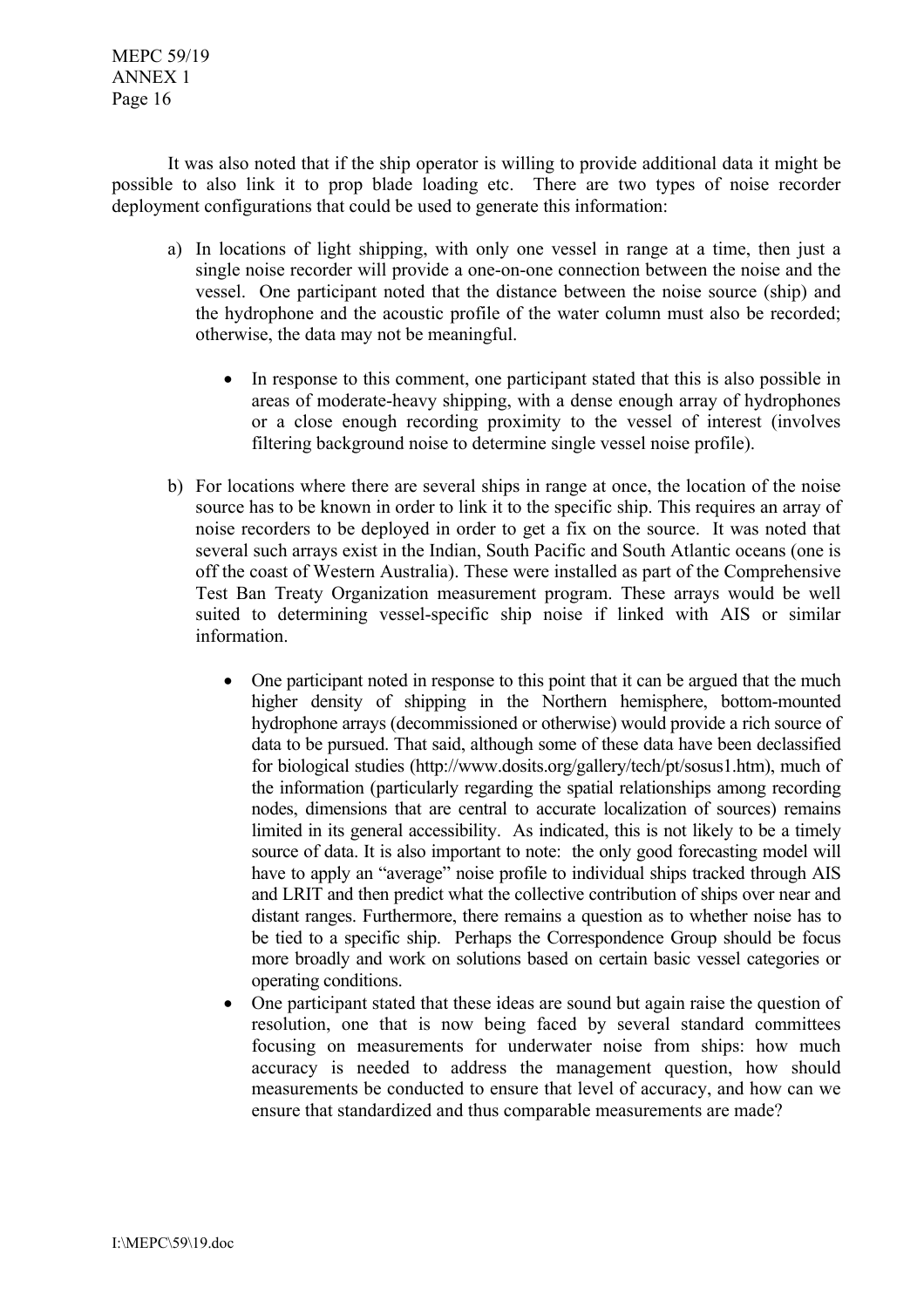**MEPC 59/19 ANNEX 1** Page 16

It was also noted that if the ship operator is willing to provide additional data it might be possible to also link it to prop blade loading etc. There are two types of noise recorder deployment configurations that could be used to generate this information:

- a) In locations of light shipping, with only one vessel in range at a time, then just a single noise recorder will provide a one-on-one connection between the noise and the vessel. One participant noted that the distance between the noise source (ship) and the hydrophone and the acoustic profile of the water column must also be recorded; otherwise, the data may not be meaningful.
	- In response to this comment, one participant stated that this is also possible in areas of moderate-heavy shipping, with a dense enough array of hydrophones or a close enough recording proximity to the vessel of interest (involves filtering background noise to determine single vessel noise profile).
- b) For locations where there are several ships in range at once, the location of the noise source has to be known in order to link it to the specific ship. This requires an array of noise recorders to be deployed in order to get a fix on the source. It was noted that several such arrays exist in the Indian, South Pacific and South Atlantic oceans (one is off the coast of Western Australia). These were installed as part of the Comprehensive Test Ban Treaty Organization measurement program. These arrays would be well suited to determining vessel-specific ship noise if linked with AIS or similar information.
	- One participant noted in response to this point that it can be argued that the much higher density of shipping in the Northern hemisphere, bottom-mounted hydrophone arrays (decommissioned or otherwise) would provide a rich source of data to be pursued. That said, although some of these data have been declassified for biological studies (http://www.dosits.org/gallery/tech/pt/sosus1.htm), much of the information (particularly regarding the spatial relationships among recording nodes, dimensions that are central to accurate localization of sources) remains limited in its general accessibility. As indicated, this is not likely to be a timely source of data. It is also important to note: the only good forecasting model will have to apply an "average" noise profile to individual ships tracked through AIS and LRIT and then predict what the collective contribution of ships over near and distant ranges. Furthermore, there remains a question as to whether noise has to be tied to a specific ship. Perhaps the Correspondence Group should be focus more broadly and work on solutions based on certain basic vessel categories or operating conditions.
	- One participant stated that these ideas are sound but again raise the question of  $\bullet$ resolution, one that is now being faced by several standard committees focusing on measurements for underwater noise from ships: how much accuracy is needed to address the management question, how should measurements be conducted to ensure that level of accuracy, and how can we ensure that standardized and thus comparable measurements are made?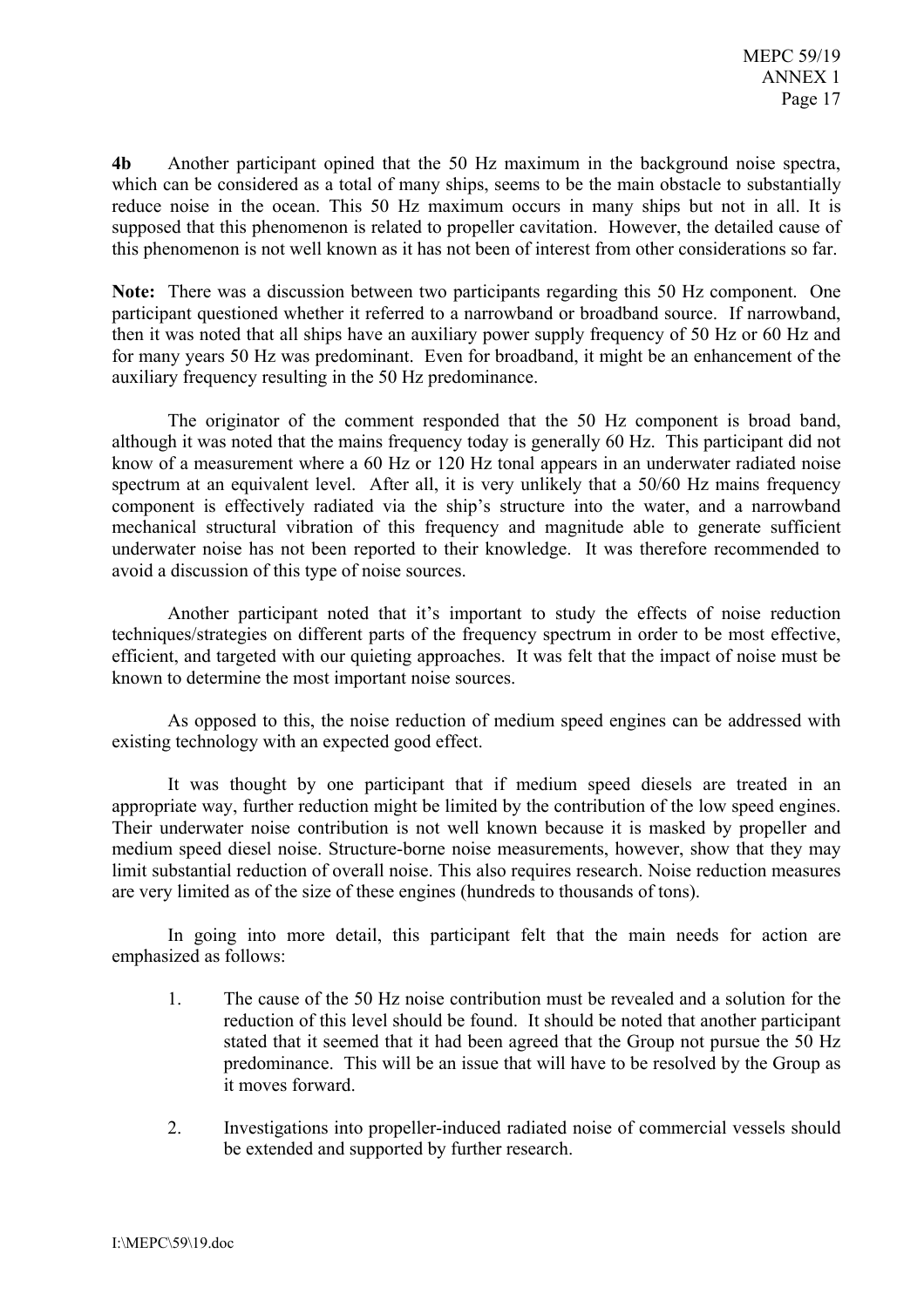$4<sub>b</sub>$ Another participant opined that the 50 Hz maximum in the background noise spectra, which can be considered as a total of many ships, seems to be the main obstacle to substantially reduce noise in the ocean. This 50 Hz maximum occurs in many ships but not in all. It is supposed that this phenomenon is related to propeller cavitation. However, the detailed cause of this phenomenon is not well known as it has not been of interest from other considerations so far.

**Note:** There was a discussion between two participants regarding this 50 Hz component. One participant questioned whether it referred to a narrowband or broadband source. If narrowband, then it was noted that all ships have an auxiliary power supply frequency of 50 Hz or 60 Hz and for many years 50 Hz was predominant. Even for broadband, it might be an enhancement of the auxiliary frequency resulting in the 50 Hz predominance.

The originator of the comment responded that the 50 Hz component is broad band, although it was noted that the mains frequency today is generally 60 Hz. This participant did not know of a measurement where a 60 Hz or 120 Hz tonal appears in an underwater radiated noise spectrum at an equivalent level. After all, it is very unlikely that a 50/60 Hz mains frequency component is effectively radiated via the ship's structure into the water, and a narrowband mechanical structural vibration of this frequency and magnitude able to generate sufficient underwater noise has not been reported to their knowledge. It was therefore recommended to avoid a discussion of this type of noise sources.

Another participant noted that it's important to study the effects of noise reduction techniques/strategies on different parts of the frequency spectrum in order to be most effective, efficient, and targeted with our quieting approaches. It was felt that the impact of noise must be known to determine the most important noise sources.

As opposed to this, the noise reduction of medium speed engines can be addressed with existing technology with an expected good effect.

It was thought by one participant that if medium speed diesels are treated in an appropriate way, further reduction might be limited by the contribution of the low speed engines. Their underwater noise contribution is not well known because it is masked by propeller and medium speed diesel noise. Structure-borne noise measurements, however, show that they may limit substantial reduction of overall noise. This also requires research. Noise reduction measures are very limited as of the size of these engines (hundreds to thousands of tons).

In going into more detail, this participant felt that the main needs for action are emphasized as follows:

- The cause of the 50 Hz noise contribution must be revealed and a solution for the  $\mathbf{1}$ reduction of this level should be found. It should be noted that another participant stated that it seemed that it had been agreed that the Group not pursue the 50 Hz predominance. This will be an issue that will have to be resolved by the Group as it moves forward.
- $2.$ Investigations into propeller-induced radiated noise of commercial vessels should be extended and supported by further research.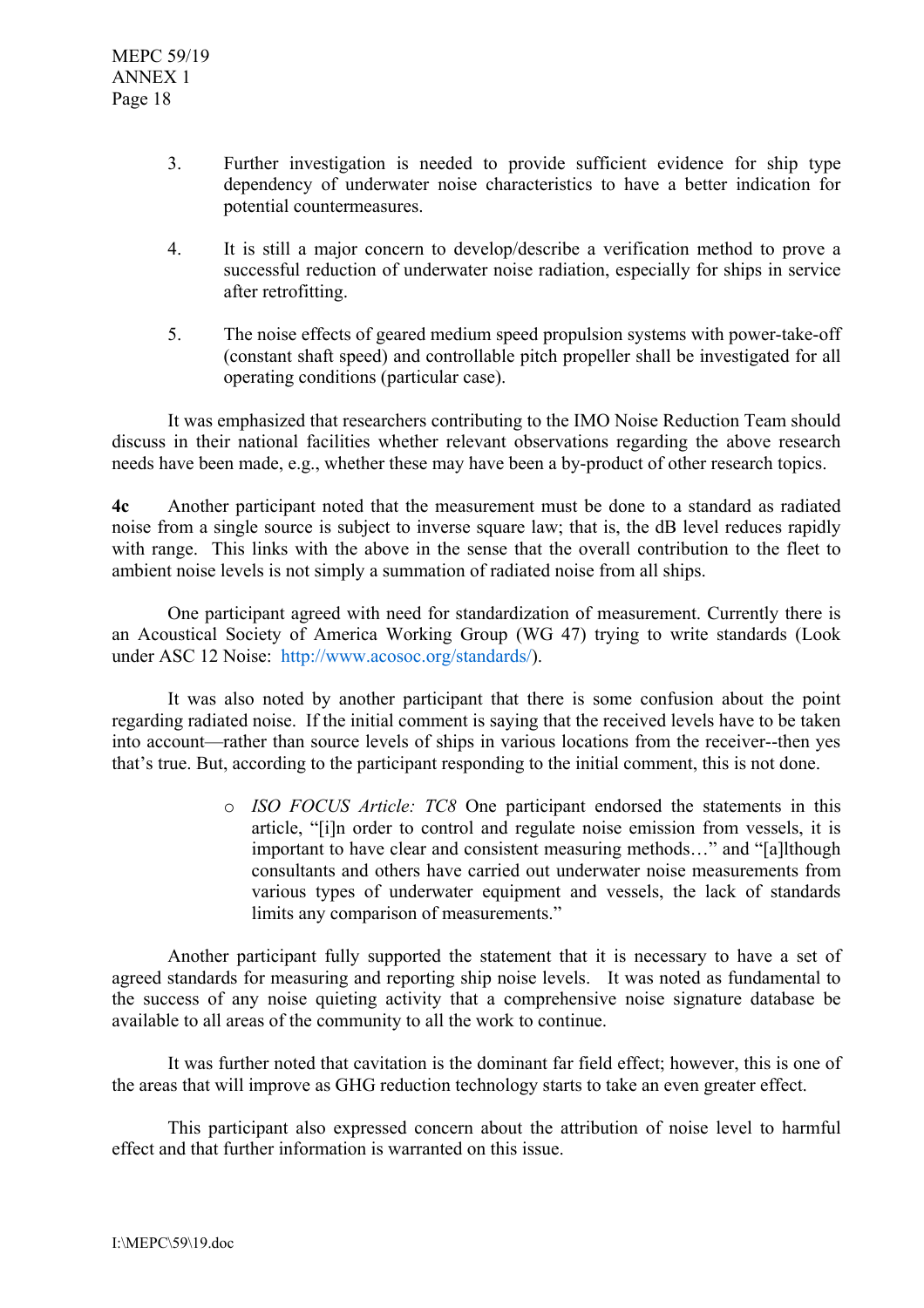- $\overline{3}$ . Further investigation is needed to provide sufficient evidence for ship type dependency of underwater noise characteristics to have a better indication for potential countermeasures.
- $\overline{4}$ It is still a major concern to develop/describe a verification method to prove a successful reduction of underwater noise radiation, especially for ships in service after retrofitting.
- $\overline{5}$ The noise effects of geared medium speed propulsion systems with power-take-off (constant shaft speed) and controllable pitch propeller shall be investigated for all operating conditions (particular case).

It was emphasized that researchers contributing to the IMO Noise Reduction Team should discuss in their national facilities whether relevant observations regarding the above research needs have been made, e.g., whether these may have been a by-product of other research topics.

 $4c$ Another participant noted that the measurement must be done to a standard as radiated noise from a single source is subject to inverse square law; that is, the dB level reduces rapidly with range. This links with the above in the sense that the overall contribution to the fleet to ambient noise levels is not simply a summation of radiated noise from all ships.

One participant agreed with need for standardization of measurement. Currently there is an Acoustical Society of America Working Group (WG 47) trying to write standards (Look under ASC 12 Noise: http://www.acosoc.org/standards/).

It was also noted by another participant that there is some confusion about the point regarding radiated noise. If the initial comment is saying that the received levels have to be taken into account—rather than source levels of ships in various locations from the receiver--then yes that's true. But, according to the participant responding to the initial comment, this is not done.

> o ISO FOCUS Article: TC8 One participant endorsed the statements in this article, "[i]n order to control and regulate noise emission from vessels, it is important to have clear and consistent measuring methods..." and "[a]lthough consultants and others have carried out underwater noise measurements from various types of underwater equipment and vessels, the lack of standards limits any comparison of measurements."

Another participant fully supported the statement that it is necessary to have a set of agreed standards for measuring and reporting ship noise levels. It was noted as fundamental to the success of any noise quieting activity that a comprehensive noise signature database be available to all areas of the community to all the work to continue.

It was further noted that cavitation is the dominant far field effect; however, this is one of the areas that will improve as GHG reduction technology starts to take an even greater effect.

This participant also expressed concern about the attribution of noise level to harmful effect and that further information is warranted on this issue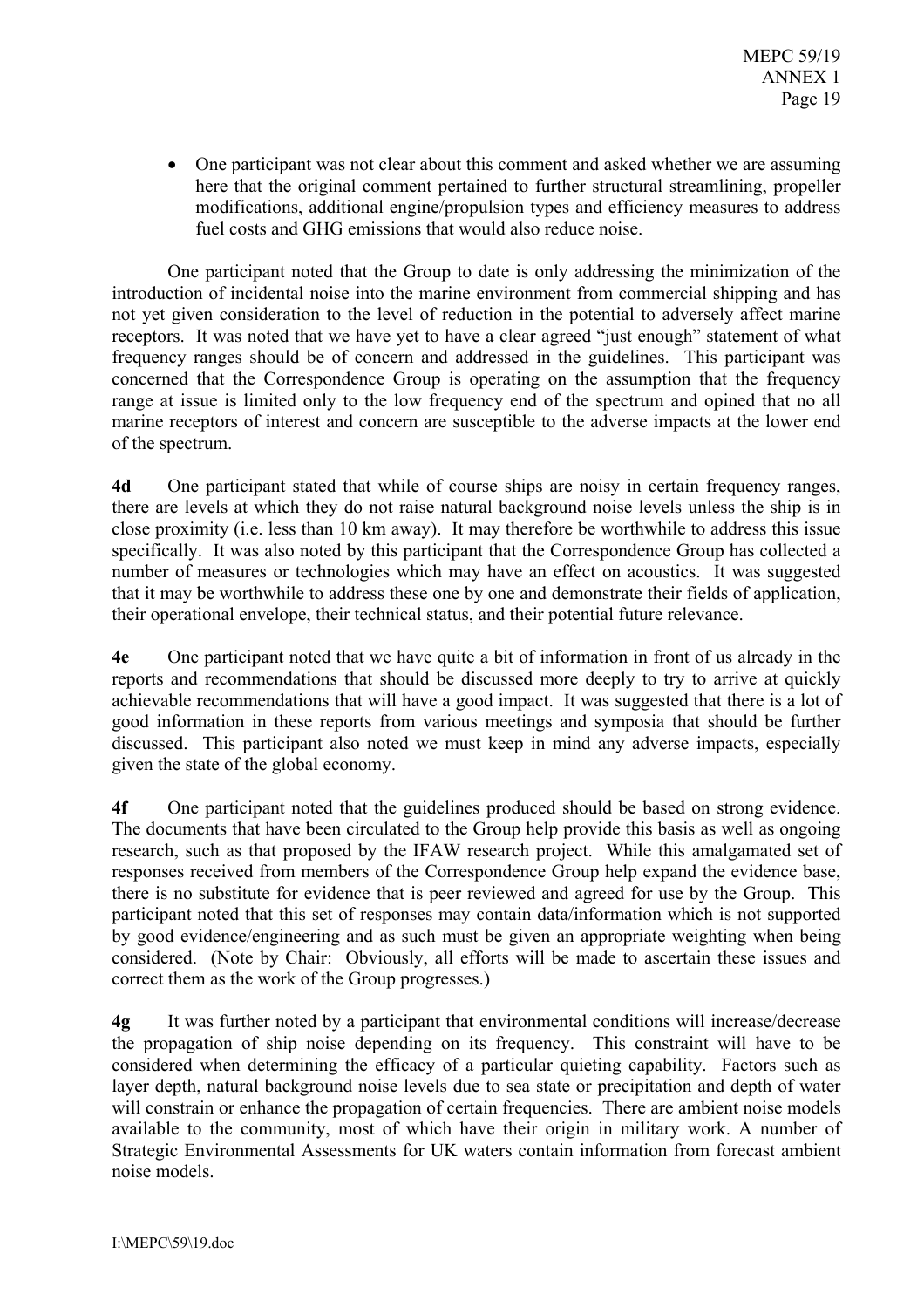• One participant was not clear about this comment and asked whether we are assuming here that the original comment pertained to further structural streamlining, propeller modifications, additional engine/propulsion types and efficiency measures to address fuel costs and GHG emissions that would also reduce noise.

One participant noted that the Group to date is only addressing the minimization of the introduction of incidental noise into the marine environment from commercial shipping and has not yet given consideration to the level of reduction in the potential to adversely affect marine receptors. It was noted that we have yet to have a clear agreed "just enough" statement of what frequency ranges should be of concern and addressed in the guidelines. This participant was concerned that the Correspondence Group is operating on the assumption that the frequency range at issue is limited only to the low frequency end of the spectrum and opined that no all marine receptors of interest and concern are susceptible to the adverse impacts at the lower end of the spectrum.

One participant stated that while of course ships are noisy in certain frequency ranges, **4d** there are levels at which they do not raise natural background noise levels unless the ship is in close proximity (i.e. less than 10 km away). It may therefore be worthwhile to address this issue specifically. It was also noted by this participant that the Correspondence Group has collected a number of measures or technologies which may have an effect on acoustics. It was suggested that it may be worthwhile to address these one by one and demonstrate their fields of application, their operational envelope, their technical status, and their potential future relevance.

One participant noted that we have quite a bit of information in front of us already in the  $4e$ reports and recommendations that should be discussed more deeply to try to arrive at quickly achievable recommendations that will have a good impact. It was suggested that there is a lot of good information in these reports from various meetings and symposia that should be further discussed. This participant also noted we must keep in mind any adverse impacts, especially given the state of the global economy.

 $4f$ One participant noted that the guidelines produced should be based on strong evidence. The documents that have been circulated to the Group help provide this basis as well as ongoing research, such as that proposed by the IFAW research project. While this amalgamated set of responses received from members of the Correspondence Group help expand the evidence base, there is no substitute for evidence that is peer reviewed and agreed for use by the Group. This participant noted that this set of responses may contain data/information which is not supported by good evidence/engineering and as such must be given an appropriate weighting when being considered. (Note by Chair: Obviously, all efforts will be made to ascertain these issues and correct them as the work of the Group progresses.)

It was further noted by a participant that environmental conditions will increase/decrease  $4g$ the propagation of ship noise depending on its frequency. This constraint will have to be considered when determining the efficacy of a particular quieting capability. Factors such as layer depth, natural background noise levels due to sea state or precipitation and depth of water will constrain or enhance the propagation of certain frequencies. There are ambient noise models available to the community, most of which have their origin in military work. A number of Strategic Environmental Assessments for UK waters contain information from forecast ambient noise models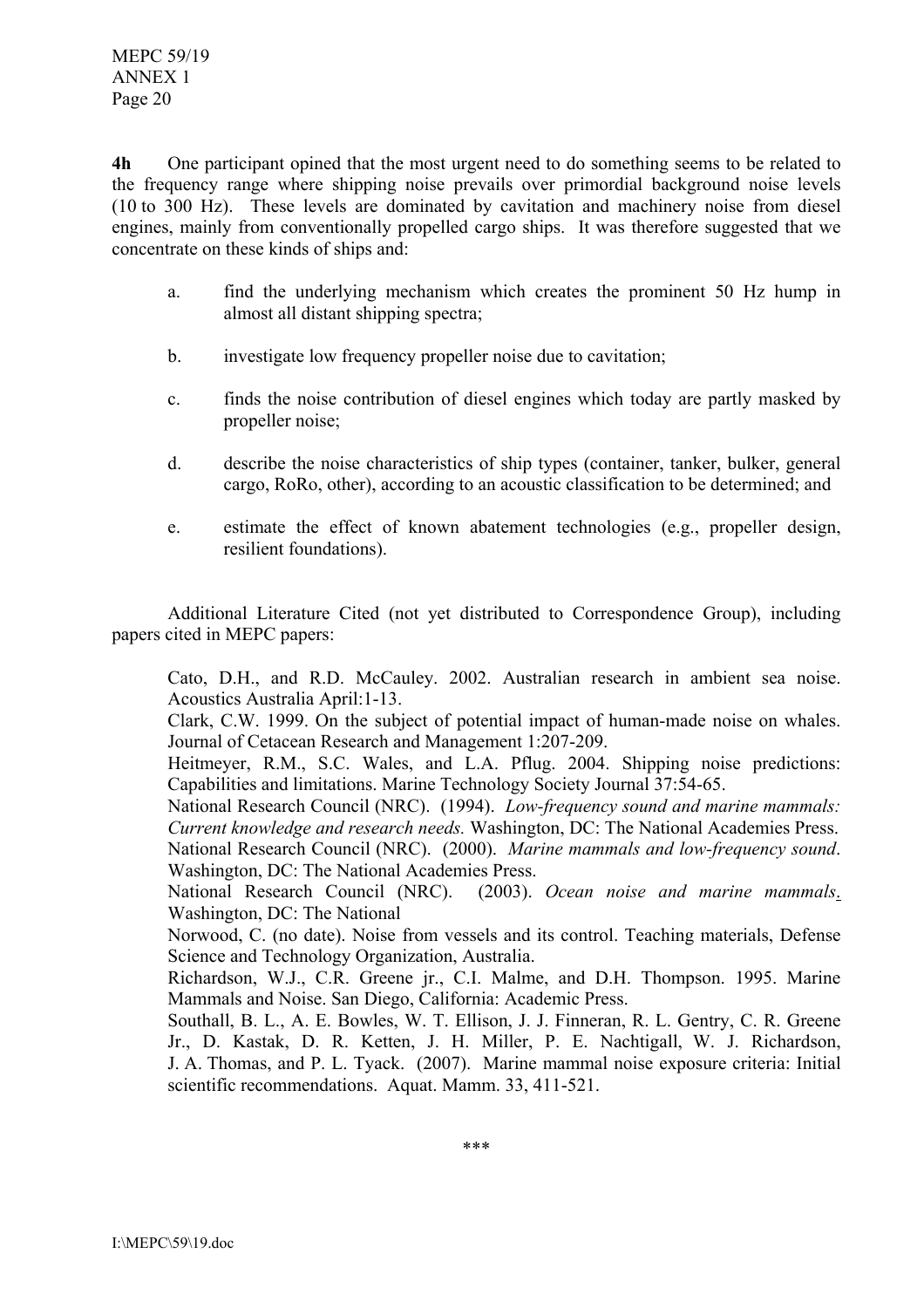$4<sub>h</sub>$ One participant opined that the most urgent need to do something seems to be related to the frequency range where shipping noise prevails over primordial background noise levels (10 to 300 Hz). These levels are dominated by cavitation and machinery noise from diesel engines, mainly from conventionally propelled cargo ships. It was therefore suggested that we concentrate on these kinds of ships and:

- find the underlying mechanism which creates the prominent 50 Hz hump in a. almost all distant shipping spectra;
- $b<sub>1</sub>$ investigate low frequency propeller noise due to cavitation;
- finds the noise contribution of diesel engines which today are partly masked by  $\mathbf{c}$ . propeller noise;
- $d_{-}$ describe the noise characteristics of ship types (container, tanker, bulker, general cargo, RoRo, other), according to an acoustic classification to be determined; and
- estimate the effect of known abatement technologies (e.g., propeller design,  $e<sub>1</sub>$ resilient foundations).

Additional Literature Cited (not yet distributed to Correspondence Group), including papers cited in MEPC papers:

Cato, D.H., and R.D. McCauley. 2002. Australian research in ambient sea noise. Acoustics Australia April: 1-13.

Clark, C.W. 1999. On the subject of potential impact of human-made noise on whales. Journal of Cetacean Research and Management 1:207-209.

Heitmeyer, R.M., S.C. Wales, and L.A. Pflug. 2004. Shipping noise predictions: Capabilities and limitations. Marine Technology Society Journal 37:54-65.

National Research Council (NRC). (1994). Low-frequency sound and marine mammals: Current knowledge and research needs. Washington, DC: The National Academies Press.

National Research Council (NRC). (2000). Marine mammals and low-frequency sound. Washington, DC: The National Academies Press.

National Research Council (NRC). (2003). Ocean noise and marine mammals. Washington, DC: The National

Norwood, C. (no date). Noise from vessels and its control. Teaching materials, Defense Science and Technology Organization, Australia.

Richardson, W.J., C.R. Greene jr., C.I. Malme, and D.H. Thompson. 1995. Marine Mammals and Noise. San Diego, California: Academic Press.

Southall, B. L., A. E. Bowles, W. T. Ellison, J. J. Finneran, R. L. Gentry, C. R. Greene Jr., D. Kastak, D. R. Ketten, J. H. Miller, P. E. Nachtigall, W. J. Richardson, J. A. Thomas, and P. L. Tyack. (2007). Marine mammal noise exposure criteria: Initial scientific recommendations. Aquat. Mamm. 33, 411-521.

 $***$